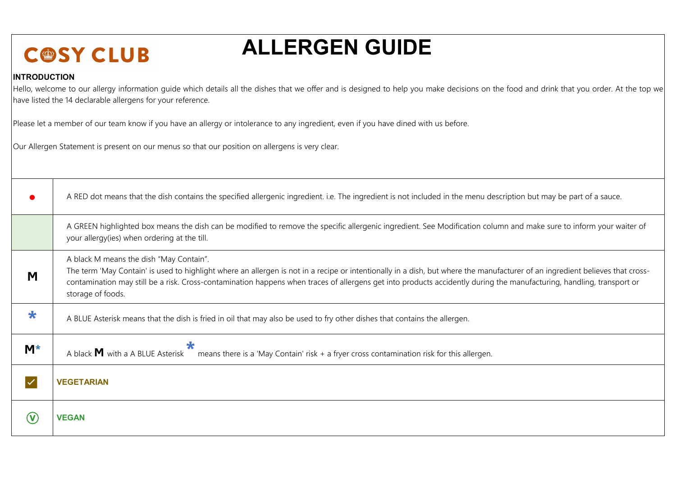## **ALLERGEN GUIDE**

## **INTRODUCTION**

Hello, welcome to our allergy information quide which details all the dishes that we offer and is designed to help you make decisions on the food and drink that you order. At the top we have listed the 14 declarable allergens for your reference.

Please let a member of our team know if you have an allergy or intolerance to any ingredient, even if you have dined with us before.

Our Allergen Statement is present on our menus so that our position on allergens is very clear.

|            | A RED dot means that the dish contains the specified allergenic ingredient. i.e. The ingredient is not included in the menu description but may be part of a sauce.                                                                                                                                                                                                                                                    |
|------------|------------------------------------------------------------------------------------------------------------------------------------------------------------------------------------------------------------------------------------------------------------------------------------------------------------------------------------------------------------------------------------------------------------------------|
|            | A GREEN highlighted box means the dish can be modified to remove the specific allergenic ingredient. See Modification column and make sure to inform your waiter of<br>your allergy(ies) when ordering at the till.                                                                                                                                                                                                    |
| Μ          | A black M means the dish "May Contain".<br>The term 'May Contain' is used to highlight where an allergen is not in a recipe or intentionally in a dish, but where the manufacturer of an ingredient believes that cross-<br>contamination may still be a risk. Cross-contamination happens when traces of allergens get into products accidently during the manufacturing, handling, transport or<br>storage of foods. |
| $\bigstar$ | A BLUE Asterisk means that the dish is fried in oil that may also be used to fry other dishes that contains the allergen.                                                                                                                                                                                                                                                                                              |
| M*         | ★<br>A black $M$ with a A BLUE Asterisk $\sim$ means there is a 'May Contain' risk + a fryer cross contamination risk for this allergen.                                                                                                                                                                                                                                                                               |
|            | <b>VEGETARIAN</b>                                                                                                                                                                                                                                                                                                                                                                                                      |
|            | <b>VEGAN</b>                                                                                                                                                                                                                                                                                                                                                                                                           |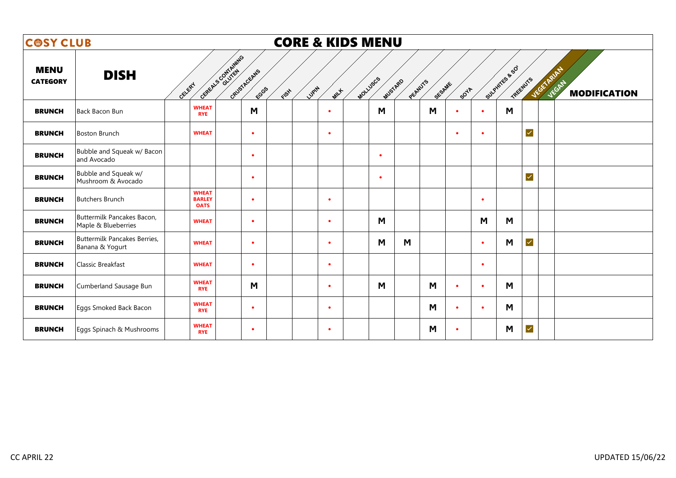| <b>COSY CLUB</b>               |                                                        |                                              |                                           |      | <b>CORE &amp; KIDS MENU</b> |          |           |         |        |             |           |                            |                      |                                                   |
|--------------------------------|--------------------------------------------------------|----------------------------------------------|-------------------------------------------|------|-----------------------------|----------|-----------|---------|--------|-------------|-----------|----------------------------|----------------------|---------------------------------------------------|
| <b>MENU</b><br><b>CATEGORY</b> | <b>DISH</b>                                            | GELERY                                       | General Contrating<br>GRUSTAGEANS<br>ECGS | FISH | LUPIN<br>MILLE              | MOLLUSCS | MUSTARD   | PEANUTS | SESAME | <b>SOTA</b> |           | Sulphirts & SO<br>TREENUTS |                      | <b>VEGETARIAN</b><br>JEGAT<br><b>MODIFICATION</b> |
| <b>BRUNCH</b>                  | Back Bacon Bun                                         | <b>WHEAT</b><br><b>RYE</b>                   | M                                         |      | $\bullet$                   |          | M         |         | M      | ٠           | $\bullet$ | M                          |                      |                                                   |
| <b>BRUNCH</b>                  | Boston Brunch                                          | <b>WHEAT</b>                                 | $\bullet$                                 |      | $\bullet$                   |          |           |         |        | $\bullet$   | $\bullet$ |                            | $\blacktriangledown$ |                                                   |
| <b>BRUNCH</b>                  | Bubble and Squeak w/ Bacon<br>and Avocado              |                                              | $\bullet$                                 |      |                             |          | $\bullet$ |         |        |             |           |                            |                      |                                                   |
| <b>BRUNCH</b>                  | Bubble and Squeak w/<br>Mushroom & Avocado             |                                              | $\bullet$                                 |      |                             |          | $\bullet$ |         |        |             |           |                            | $\checkmark$         |                                                   |
| <b>BRUNCH</b>                  | <b>Butchers Brunch</b>                                 | <b>WHEAT</b><br><b>BARLEY</b><br><b>OATS</b> | $\bullet$                                 |      | $\bullet$                   |          |           |         |        |             | $\bullet$ |                            |                      |                                                   |
| <b>BRUNCH</b>                  | Buttermilk Pancakes Bacon,<br>Maple & Blueberries      | <b>WHEAT</b>                                 | $\bullet$                                 |      | $\bullet$                   |          | M         |         |        |             | M         | M                          |                      |                                                   |
| <b>BRUNCH</b>                  | <b>Buttermilk Pancakes Berries,</b><br>Banana & Yogurt | <b>WHEAT</b>                                 | $\bullet$                                 |      | $\bullet$                   |          | M         | M       |        |             | $\bullet$ | M                          | $\blacktriangledown$ |                                                   |
| <b>BRUNCH</b>                  | Classic Breakfast                                      | <b>WHEAT</b>                                 | $\bullet$                                 |      | $\bullet$                   |          |           |         |        |             | $\bullet$ |                            |                      |                                                   |
| <b>BRUNCH</b>                  | Cumberland Sausage Bun                                 | <b>WHEAT</b><br><b>RYE</b>                   | M                                         |      | $\bullet$                   |          | M         |         | M      | $\bullet$   | $\bullet$ | M                          |                      |                                                   |
| <b>BRUNCH</b>                  | Eggs Smoked Back Bacon                                 | <b>WHEAT</b><br><b>RYE</b>                   | $\bullet$                                 |      | $\bullet$                   |          |           |         | M      | $\bullet$   | $\bullet$ | M                          |                      |                                                   |
| <b>BRUNCH</b>                  | Eggs Spinach & Mushrooms                               | <b>WHEAT</b><br><b>RYE</b>                   | $\bullet$                                 |      | $\bullet$                   |          |           |         | M      | $\bullet$   |           | M                          | $\checkmark$         |                                                   |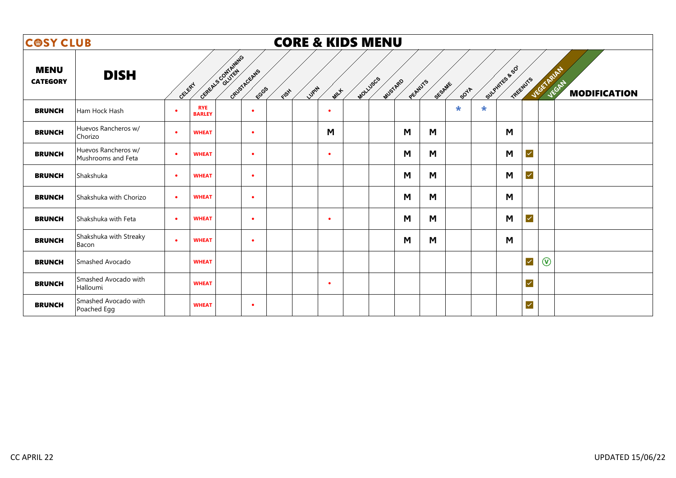| <b>COSY CLUB</b>               |                                           |           |                             |                   |                      | <b>CORE &amp; KIDS MENU</b> |           |                     |         |        |             |         |                            |              |                                  |
|--------------------------------|-------------------------------------------|-----------|-----------------------------|-------------------|----------------------|-----------------------------|-----------|---------------------|---------|--------|-------------|---------|----------------------------|--------------|----------------------------------|
| <b>MENU</b><br><b>CATEGORY</b> | <b>DISH</b>                               | GELERY    |                             | General Scotlands | GRUSTACEANS<br>ECGGS | Lupin<br>FISH               | MILLE     | MOLLUSCS<br>MUSTARD | PEANUTS | SESAME | <b>SOTA</b> |         | Sulphires & SO<br>TREEWUYS |              | VEGETARIA<br><b>MODIFICATION</b> |
| <b>BRUNCH</b>                  | Ham Hock Hash                             | $\bullet$ | <b>RYE</b><br><b>BARLEY</b> |                   | $\bullet$            |                             | $\bullet$ |                     |         |        | $\star$     | $\star$ |                            |              |                                  |
| <b>BRUNCH</b>                  | Huevos Rancheros w/<br>Chorizo            | $\bullet$ | <b>WHEAT</b>                |                   | $\bullet$            |                             | M         |                     | M       | M      |             |         | M                          |              |                                  |
| <b>BRUNCH</b>                  | Huevos Rancheros w/<br>Mushrooms and Feta | $\bullet$ | <b>WHEAT</b>                |                   | $\bullet$            |                             | $\bullet$ |                     | M       | M      |             |         | M                          | $\checkmark$ |                                  |
| <b>BRUNCH</b>                  | Shakshuka                                 | $\bullet$ | <b>WHEAT</b>                |                   | $\bullet$            |                             |           |                     | M       | M      |             |         | M                          | $\checkmark$ |                                  |
| <b>BRUNCH</b>                  | Shakshuka with Chorizo                    | $\bullet$ | <b>WHEAT</b>                |                   | $\bullet$            |                             |           |                     | M       | M      |             |         | M                          |              |                                  |
| <b>BRUNCH</b>                  | Shakshuka with Feta                       | $\bullet$ | <b>WHEAT</b>                |                   | $\bullet$            |                             | $\bullet$ |                     | M       | M      |             |         | M                          | $\checkmark$ |                                  |
| <b>BRUNCH</b>                  | Shakshuka with Streaky<br>Bacon           | $\bullet$ | <b>WHEAT</b>                |                   | $\bullet$            |                             |           |                     | M       | M      |             |         | M                          |              |                                  |
| <b>BRUNCH</b>                  | Smashed Avocado                           |           | <b>WHEAT</b>                |                   |                      |                             |           |                     |         |        |             |         |                            | $\checkmark$ | $\circledcirc$                   |
| <b>BRUNCH</b>                  | Smashed Avocado with<br>Halloumi          |           | <b>WHEAT</b>                |                   |                      |                             | $\bullet$ |                     |         |        |             |         |                            | $\checkmark$ |                                  |
| <b>BRUNCH</b>                  | Smashed Avocado with<br>Poached Egg       |           | <b>WHEAT</b>                |                   | $\bullet$            |                             |           |                     |         |        |             |         |                            | $\checkmark$ |                                  |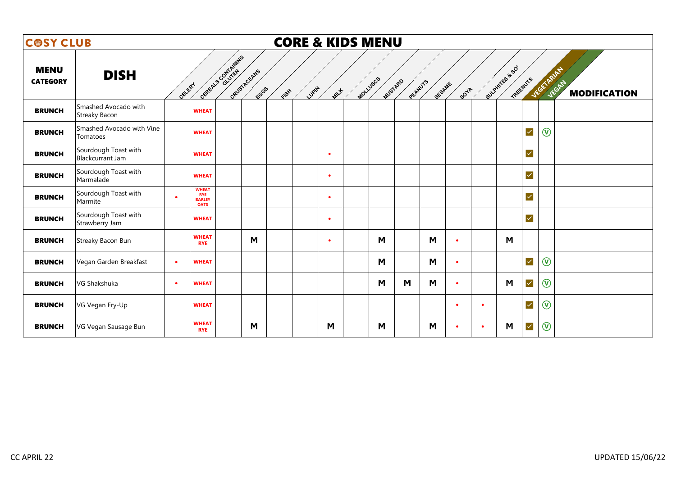| <b>COSY CLUB</b>               |                                                 |           |                                                            |                    |                      | <b>CORE &amp; KIDS MENU</b> |           |          |         |         |        |             |           |                            |                      |                                                          |
|--------------------------------|-------------------------------------------------|-----------|------------------------------------------------------------|--------------------|----------------------|-----------------------------|-----------|----------|---------|---------|--------|-------------|-----------|----------------------------|----------------------|----------------------------------------------------------|
| <b>MENU</b><br><b>CATEGORY</b> | <b>DISH</b>                                     | GELERY    |                                                            | General Contrating | GRUSTAGEANS<br>ECGGS | LUPIN<br>FISH               | MILLE     | MOLLUSCS | MUSTARD | PEANUTS | SESAME | <b>SOTA</b> |           | Sulphires & SO<br>TREENUTS |                      | <b>VEGETARIAN</b><br><b>JEGAN</b><br><b>MODIFICATION</b> |
| <b>BRUNCH</b>                  | Smashed Avocado with<br>Streaky Bacon           |           | <b>WHEAT</b>                                               |                    |                      |                             |           |          |         |         |        |             |           |                            |                      |                                                          |
| <b>BRUNCH</b>                  | Smashed Avocado with Vine<br>Tomatoes           |           | <b>WHEAT</b>                                               |                    |                      |                             |           |          |         |         |        |             |           |                            | $\checkmark$         | $\circledR$                                              |
| <b>BRUNCH</b>                  | Sourdough Toast with<br><b>Blackcurrant Jam</b> |           | <b>WHEAT</b>                                               |                    |                      |                             | $\bullet$ |          |         |         |        |             |           |                            | $\checkmark$         |                                                          |
| <b>BRUNCH</b>                  | Sourdough Toast with<br>Marmalade               |           | <b>WHEAT</b>                                               |                    |                      |                             | $\bullet$ |          |         |         |        |             |           |                            | $\checkmark$         |                                                          |
| <b>BRUNCH</b>                  | Sourdough Toast with<br>Marmite                 | $\bullet$ | <b>WHEAT</b><br><b>RYE</b><br><b>BARLEY</b><br><b>OATS</b> |                    |                      |                             | $\bullet$ |          |         |         |        |             |           |                            | $\checkmark$         |                                                          |
| <b>BRUNCH</b>                  | Sourdough Toast with<br>Strawberry Jam          |           | <b>WHEAT</b>                                               |                    |                      |                             | $\bullet$ |          |         |         |        |             |           |                            | $\checkmark$         |                                                          |
| <b>BRUNCH</b>                  | Streaky Bacon Bun                               |           | <b>WHEAT</b><br><b>RYE</b>                                 |                    | M                    |                             | $\bullet$ |          | M       |         | M      | $\bullet$   |           | M                          |                      |                                                          |
| <b>BRUNCH</b>                  | Vegan Garden Breakfast                          | $\bullet$ | <b>WHEAT</b>                                               |                    |                      |                             |           |          | M       |         | M      | $\bullet$   |           |                            | $\blacktriangledown$ | $\circledcirc$                                           |
| <b>BRUNCH</b>                  | VG Shakshuka                                    | $\bullet$ | <b>WHEAT</b>                                               |                    |                      |                             |           |          | M       | M       | M      | $\bullet$   |           | M                          | $\checkmark$         | $\circledR$                                              |
| <b>BRUNCH</b>                  | VG Vegan Fry-Up                                 |           | <b>WHEAT</b>                                               |                    |                      |                             |           |          |         |         |        | $\bullet$   | $\bullet$ |                            | $\checkmark$         | $\circledR$                                              |
| <b>BRUNCH</b>                  | VG Vegan Sausage Bun                            |           | <b>WHEAT</b><br><b>RYE</b>                                 |                    | M                    |                             | M         |          | M       |         | M      | $\bullet$   | $\bullet$ | M                          | $\checkmark$         | $\circledcirc$                                           |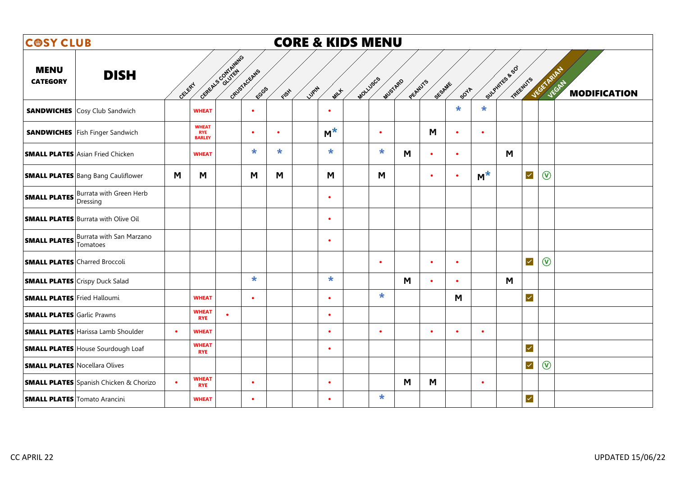| <b>COSY CLUB</b>                     |                                                          |           |                                             |                                   |               | <b>CORE &amp; KIDS MENU</b> |           |                    |           |           |           |                |                               |                              |
|--------------------------------------|----------------------------------------------------------|-----------|---------------------------------------------|-----------------------------------|---------------|-----------------------------|-----------|--------------------|-----------|-----------|-----------|----------------|-------------------------------|------------------------------|
| <b>MENU</b><br><b>CATEGORY</b>       | <b>DISH</b>                                              | CELERY    |                                             | General Contrating<br>GRUSTAGEANS | FCGGS<br>FISH | Lugity<br>MILLE             | MOLLUSCS  | MUSTARD<br>PEANUTS | SESAME    | SOYA      |           | Sulphites & SO | VEGETARIAN<br><b>TREENUTS</b> | JEGAN<br><b>MODIFICATION</b> |
|                                      | <b>SANDWICHES</b> Cosy Club Sandwich                     |           | <b>WHEAT</b>                                | $\bullet$                         |               | $\bullet$                   |           |                    |           | $\star$   | $\star$   |                |                               |                              |
|                                      | <b>SANDWICHES</b> Fish Finger Sandwich                   |           | <b>WHEAT</b><br><b>RYE</b><br><b>BARLEY</b> | $\bullet$                         | $\bullet$     | $M^*$                       | $\bullet$ |                    | M         | $\bullet$ | $\bullet$ |                |                               |                              |
|                                      | <b>SMALL PLATES</b> Asian Fried Chicken                  |           | <b>WHEAT</b>                                | $\ast$                            | $\star$       | $\star$                     | $\star$   | M                  | $\bullet$ | $\bullet$ |           | M              |                               |                              |
|                                      | <b>SMALL PLATES</b> Bang Bang Cauliflower                | M         | M                                           | M                                 | M             | M                           | M         |                    | $\bullet$ | $\bullet$ | $M^*$     |                | $\circledR$<br>$\checkmark$   |                              |
|                                      | <b>SMALL PLATES</b> Burrata with Green Herb<br>Dressing  |           |                                             |                                   |               | $\bullet$                   |           |                    |           |           |           |                |                               |                              |
|                                      | <b>SMALL PLATES Burrata with Olive Oil</b>               |           |                                             |                                   |               | $\bullet$                   |           |                    |           |           |           |                |                               |                              |
|                                      | <b>SMALL PLATES</b> Burrata with San Marzano<br>Tomatoes |           |                                             |                                   |               | $\bullet$                   |           |                    |           |           |           |                |                               |                              |
|                                      | <b>SMALL PLATES</b> Charred Broccoli                     |           |                                             |                                   |               |                             | $\bullet$ |                    | $\bullet$ | $\bullet$ |           |                | $\circledR$<br>$\checkmark$   |                              |
|                                      | <b>SMALL PLATES</b> Crispy Duck Salad                    |           |                                             | $\ast$                            |               | $\star$                     |           | M                  | $\bullet$ | $\bullet$ |           | M              |                               |                              |
| <b>SMALL PLATES</b> Fried Halloumi   |                                                          |           | <b>WHEAT</b>                                | $\bullet$                         |               | $\bullet$                   | $\star$   |                    |           | M         |           |                | $\blacktriangledown$          |                              |
| <b>SMALL PLATES</b> Garlic Prawns    |                                                          |           | <b>WHEAT</b><br><b>RYE</b>                  | $\bullet$                         |               | $\bullet$                   |           |                    |           |           |           |                |                               |                              |
|                                      | <b>SMALL PLATES Harissa Lamb Shoulder</b>                | $\bullet$ | <b>WHEAT</b>                                |                                   |               | $\bullet$                   | $\bullet$ |                    | $\bullet$ | $\bullet$ | $\bullet$ |                |                               |                              |
|                                      | <b>SMALL PLATES House Sourdough Loaf</b>                 |           | <b>WHEAT</b><br><b>RYE</b>                  |                                   |               | $\bullet$                   |           |                    |           |           |           |                | $\blacktriangledown$          |                              |
| <b>SMALL PLATES</b> Nocellara Olives |                                                          |           |                                             |                                   |               |                             |           |                    |           |           |           |                | $\circledR$<br>$\checkmark$   |                              |
|                                      | <b>SMALL PLATES</b> Spanish Chicken & Chorizo            | $\bullet$ | <b>WHEAT</b><br><b>RYE</b>                  | $\bullet$                         |               | $\bullet$                   |           | M                  | M         |           | $\bullet$ |                |                               |                              |
|                                      | <b>SMALL PLATES</b> Tomato Arancini                      |           | <b>WHEAT</b>                                | $\bullet$                         |               | $\bullet$                   | $\ast$    |                    |           |           |           |                | $\checkmark$                  |                              |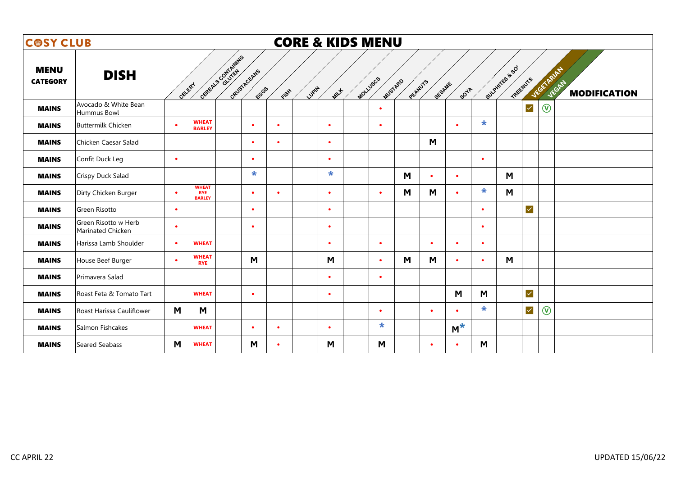| <b>COSY CLUB</b>               |                                           |           |                                             |                    |                      | <b>CORE &amp; KIDS MENU</b> |             |          |           |         |           |                        |           |                |                      |                   |                                     |
|--------------------------------|-------------------------------------------|-----------|---------------------------------------------|--------------------|----------------------|-----------------------------|-------------|----------|-----------|---------|-----------|------------------------|-----------|----------------|----------------------|-------------------|-------------------------------------|
| <b>MENU</b><br><b>CATEGORY</b> | <b>DISH</b>                               | GELERY    |                                             | General Contrating | GRUSTACEANS<br>FCGGS | LUPIN<br>FISH               | <b>MILL</b> | MOLLUSCS | MUSTARD   | PEANUTS | SESAME    | <b>SO<sup>VA</sup></b> |           | Sulphites & SO | TREEWUTS             | <b>JEGETARIAN</b> | <b>JEGAN</b><br><b>MODIFICATION</b> |
| <b>MAINS</b>                   | Avocado & White Bean<br>Hummus Bowl       |           |                                             |                    |                      |                             |             |          | $\bullet$ |         |           |                        |           |                | $\checkmark$         | $\circledcirc$    |                                     |
| <b>MAINS</b>                   | <b>Buttermilk Chicken</b>                 | $\bullet$ | <b>WHEAT</b><br><b>BARLEY</b>               |                    | $\bullet$            | $\bullet$                   | $\bullet$   |          | $\bullet$ |         |           | $\bullet$              | $\star$   |                |                      |                   |                                     |
| <b>MAINS</b>                   | Chicken Caesar Salad                      |           |                                             |                    | $\bullet$            | $\bullet$                   | $\bullet$   |          |           |         | M         |                        |           |                |                      |                   |                                     |
| <b>MAINS</b>                   | Confit Duck Leg                           | $\bullet$ |                                             |                    | $\bullet$            |                             | $\bullet$   |          |           |         |           |                        | $\bullet$ |                |                      |                   |                                     |
| <b>MAINS</b>                   | Crispy Duck Salad                         |           |                                             |                    | $\star$              |                             | $\star$     |          |           | M       | $\bullet$ | $\bullet$              |           | M              |                      |                   |                                     |
| <b>MAINS</b>                   | Dirty Chicken Burger                      | $\bullet$ | <b>WHEAT</b><br><b>RYE</b><br><b>BARLEY</b> |                    | $\bullet$            | $\bullet$                   | $\bullet$   |          | $\bullet$ | M       | M         | $\bullet$              | $\star$   | M              |                      |                   |                                     |
| <b>MAINS</b>                   | Green Risotto                             | $\bullet$ |                                             |                    | $\bullet$            |                             | $\bullet$   |          |           |         |           |                        | $\bullet$ |                | $\blacktriangledown$ |                   |                                     |
| <b>MAINS</b>                   | Green Risotto w Herb<br>Marinated Chicken | $\bullet$ |                                             |                    | $\bullet$            |                             | $\bullet$   |          |           |         |           |                        | $\bullet$ |                |                      |                   |                                     |
| <b>MAINS</b>                   | Harissa Lamb Shoulder                     | $\bullet$ | <b>WHEAT</b>                                |                    |                      |                             | $\bullet$   |          | $\bullet$ |         | $\bullet$ | $\bullet$              | $\bullet$ |                |                      |                   |                                     |
| <b>MAINS</b>                   | House Beef Burger                         | $\bullet$ | <b>WHEAT</b><br><b>RYE</b>                  |                    | M                    |                             | M           |          | $\bullet$ | M       | M         | $\bullet$              | $\bullet$ | M              |                      |                   |                                     |
| <b>MAINS</b>                   | Primavera Salad                           |           |                                             |                    |                      |                             | $\bullet$   |          | $\bullet$ |         |           |                        |           |                |                      |                   |                                     |
| <b>MAINS</b>                   | Roast Feta & Tomato Tart                  |           | <b>WHEAT</b>                                |                    | $\bullet$            |                             | $\bullet$   |          |           |         |           | M                      | M         |                | $\blacktriangledown$ |                   |                                     |
| <b>MAINS</b>                   | Roast Harissa Cauliflower                 | M         | M                                           |                    |                      |                             |             |          | $\bullet$ |         | $\bullet$ |                        | $\star$   |                | $\checkmark$         | $\circledcirc$    |                                     |
| <b>MAINS</b>                   | Salmon Fishcakes                          |           | <b>WHEAT</b>                                |                    | $\bullet$            | $\bullet$                   | $\bullet$   |          | $\star$   |         |           | $M^*$                  |           |                |                      |                   |                                     |
| <b>MAINS</b>                   | Seared Seabass                            | M         | <b>WHEAT</b>                                |                    | M                    | $\bullet$                   | M           |          | M         |         | $\bullet$ | $\bullet$              | M         |                |                      |                   |                                     |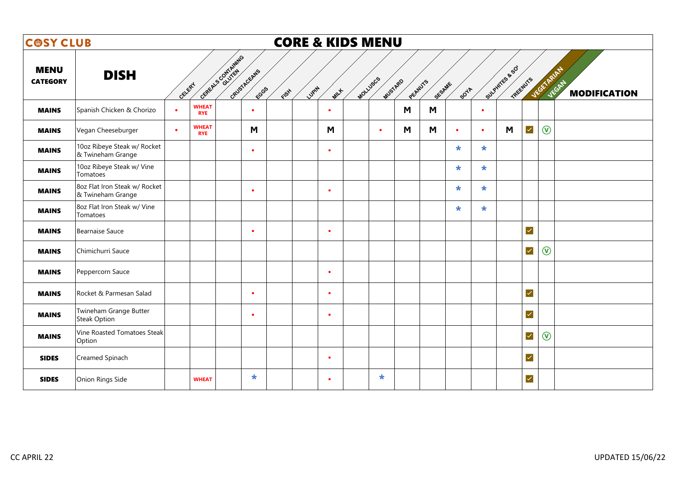| <b>COSY CLUB</b>               |                                                    |           |                            |                   |                      | <b>CORE &amp; KIDS MENU</b> |           |          |           |         |        |             |           |                |                      |                |                              |
|--------------------------------|----------------------------------------------------|-----------|----------------------------|-------------------|----------------------|-----------------------------|-----------|----------|-----------|---------|--------|-------------|-----------|----------------|----------------------|----------------|------------------------------|
| <b>MENU</b><br><b>CATEGORY</b> | <b>DISH</b>                                        | GELERY    |                            | GREEN'S CONTAINED | GRUSTAGEANS<br>FCGGS | Lugity<br>FISH              | MILLE     | Mollyscs | MUSTARD   | PEANUTS | SESAME | <b>SOTA</b> |           | Sulphirts & SO | TREENUTS             | VEGETARIAN     | JEGAN<br><b>MODIFICATION</b> |
| <b>MAINS</b>                   | Spanish Chicken & Chorizo                          | $\bullet$ | <b>WHEAT</b><br><b>RYE</b> |                   | $\bullet$            |                             | $\bullet$ |          |           | M       | M      |             | $\bullet$ |                |                      |                |                              |
| <b>MAINS</b>                   | Vegan Cheeseburger                                 | $\bullet$ | <b>WHEAT</b><br><b>RYE</b> |                   | M                    |                             | M         |          | $\bullet$ | M       | M      | $\bullet$   | $\bullet$ | M              | $\checkmark$         | $\circledR$    |                              |
| <b>MAINS</b>                   | 10oz Ribeye Steak w/ Rocket<br>& Twineham Grange   |           |                            |                   | $\bullet$            |                             | $\bullet$ |          |           |         |        | $\star$     | $\star$   |                |                      |                |                              |
| <b>MAINS</b>                   | 10oz Ribeye Steak w/ Vine<br>Tomatoes              |           |                            |                   |                      |                             |           |          |           |         |        | $\star$     | $\star$   |                |                      |                |                              |
| <b>MAINS</b>                   | 8oz Flat Iron Steak w/ Rocket<br>& Twineham Grange |           |                            |                   | $\bullet$            |                             | $\bullet$ |          |           |         |        | $\ast$      | $\ast$    |                |                      |                |                              |
| <b>MAINS</b>                   | 8oz Flat Iron Steak w/ Vine<br>Tomatoes            |           |                            |                   |                      |                             |           |          |           |         |        | $\star$     | $\star$   |                |                      |                |                              |
| <b>MAINS</b>                   | <b>Bearnaise Sauce</b>                             |           |                            |                   | $\bullet$            |                             | $\bullet$ |          |           |         |        |             |           |                | $\checkmark$         |                |                              |
| <b>MAINS</b>                   | Chimichurri Sauce                                  |           |                            |                   |                      |                             |           |          |           |         |        |             |           |                | $\checkmark$         | $\circledR$    |                              |
| <b>MAINS</b>                   | Peppercorn Sauce                                   |           |                            |                   |                      |                             | $\bullet$ |          |           |         |        |             |           |                |                      |                |                              |
| <b>MAINS</b>                   | Rocket & Parmesan Salad                            |           |                            |                   | $\bullet$            |                             | $\bullet$ |          |           |         |        |             |           |                | $\blacktriangledown$ |                |                              |
| <b>MAINS</b>                   | Twineham Grange Butter<br><b>Steak Option</b>      |           |                            |                   | $\bullet$            |                             | $\bullet$ |          |           |         |        |             |           |                | $\blacktriangledown$ |                |                              |
| <b>MAINS</b>                   | Vine Roasted Tomatoes Steak<br>Option              |           |                            |                   |                      |                             |           |          |           |         |        |             |           |                | $\checkmark$         | $\circledcirc$ |                              |
| <b>SIDES</b>                   | Creamed Spinach                                    |           |                            |                   |                      |                             | $\bullet$ |          |           |         |        |             |           |                | $\blacktriangledown$ |                |                              |
| <b>SIDES</b>                   | Onion Rings Side                                   |           | <b>WHEAT</b>               |                   | $\star$              |                             | $\bullet$ |          | $\ast$    |         |        |             |           |                | $\checkmark$         |                |                              |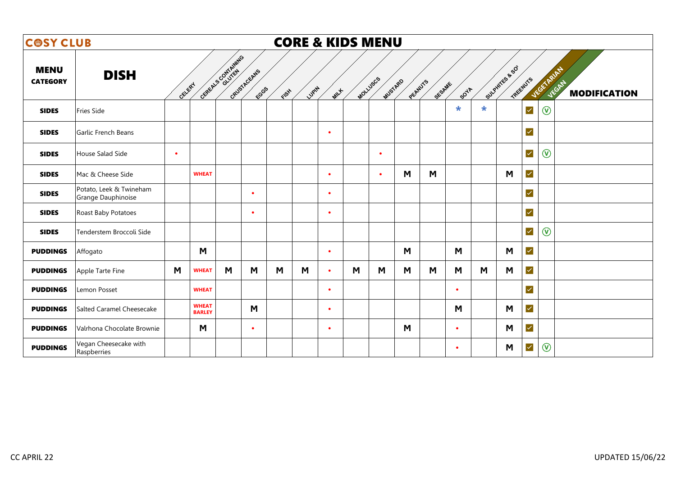| <b>COSY CLUB</b>               |                                               |           |                               |                    |                      |      |        |           | <b>CORE &amp; KIDS MENU</b> |                     |         |        |             |        |                            |              |                                                   |
|--------------------------------|-----------------------------------------------|-----------|-------------------------------|--------------------|----------------------|------|--------|-----------|-----------------------------|---------------------|---------|--------|-------------|--------|----------------------------|--------------|---------------------------------------------------|
| <b>MENU</b><br><b>CATEGORY</b> | <b>DISH</b>                                   | CELERY    |                               | GREEN'S CONTAINING | GRUSTACEANS<br>FCGGS | FISH | Lugity | MILLE     |                             | MOLLUSCS<br>MUSTARD | PEANUTS | SESAME | <b>SOTA</b> |        | Sulphirts & SO<br>TREENUTS |              | VEGETARIAN<br><b>JEGAN</b><br><b>MODIFICATION</b> |
| <b>SIDES</b>                   | Fries Side                                    |           |                               |                    |                      |      |        |           |                             |                     |         |        | *           | $\ast$ |                            | $\prec$      | $\circledR$                                       |
| <b>SIDES</b>                   | Garlic French Beans                           |           |                               |                    |                      |      |        | $\bullet$ |                             |                     |         |        |             |        |                            | $\checkmark$ |                                                   |
| <b>SIDES</b>                   | House Salad Side                              | $\bullet$ |                               |                    |                      |      |        |           |                             | $\bullet$           |         |        |             |        |                            | $\checkmark$ | $\circledR$                                       |
| <b>SIDES</b>                   | Mac & Cheese Side                             |           | <b>WHEAT</b>                  |                    |                      |      |        | $\bullet$ |                             | $\bullet$           | M       | M      |             |        | M                          | $\checkmark$ |                                                   |
| <b>SIDES</b>                   | Potato, Leek & Twineham<br>Grange Dauphinoise |           |                               |                    | $\bullet$            |      |        | $\bullet$ |                             |                     |         |        |             |        |                            | $\checkmark$ |                                                   |
| <b>SIDES</b>                   | Roast Baby Potatoes                           |           |                               |                    | $\bullet$            |      |        | $\bullet$ |                             |                     |         |        |             |        |                            | $\checkmark$ |                                                   |
| <b>SIDES</b>                   | Tenderstem Broccoli Side                      |           |                               |                    |                      |      |        |           |                             |                     |         |        |             |        |                            | $\prec$      | $\circledcirc$                                    |
| <b>PUDDINGS</b>                | Affogato                                      |           | M                             |                    |                      |      |        | $\bullet$ |                             |                     | M       |        | M           |        | M                          | $\checkmark$ |                                                   |
| <b>PUDDINGS</b>                | Apple Tarte Fine                              | M         | <b>WHEAT</b>                  | M                  | M                    | M    | M      | $\bullet$ | M                           | M                   | M       | M      | M           | M      | M                          | $\checkmark$ |                                                   |
| <b>PUDDINGS</b>                | Lemon Posset                                  |           | <b>WHEAT</b>                  |                    |                      |      |        | $\bullet$ |                             |                     |         |        | $\bullet$   |        |                            | $\checkmark$ |                                                   |
| <b>PUDDINGS</b>                | Salted Caramel Cheesecake                     |           | <b>WHEAT</b><br><b>BARLEY</b> |                    | M                    |      |        | $\bullet$ |                             |                     |         |        | M           |        | M                          | $\checkmark$ |                                                   |
| <b>PUDDINGS</b>                | Valrhona Chocolate Brownie                    |           | M                             |                    | $\bullet$            |      |        | $\bullet$ |                             |                     | M       |        | $\bullet$   |        | M                          | $\prec$      |                                                   |
| <b>PUDDINGS</b>                | Vegan Cheesecake with<br>Raspberries          |           |                               |                    |                      |      |        |           |                             |                     |         |        | $\bullet$   |        | M                          | $\checkmark$ | $\circledcirc$                                    |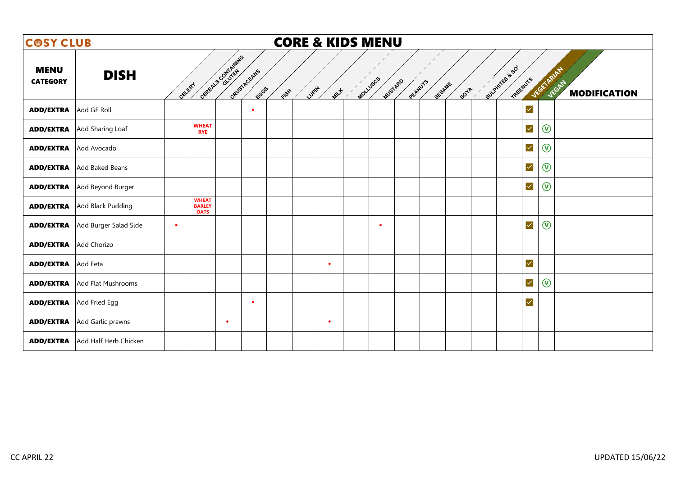| <b>COSY CLUB</b>               |                                     |           |                                              |                    |                     | <b>CORE &amp; KIDS MENU</b> |             |                     |         |        |                                    |                            |                     |
|--------------------------------|-------------------------------------|-----------|----------------------------------------------|--------------------|---------------------|-----------------------------|-------------|---------------------|---------|--------|------------------------------------|----------------------------|---------------------|
| <b>MENU</b><br><b>CATEGORY</b> | <b>DISH</b>                         | GELERY    |                                              | General Contrating | GRUSTACEANS<br>ECGS | LUPIN<br>ElSH               | <b>MILL</b> | MOLLUSCS<br>MUSTARD | PEANUTS | SESAME | Sulphires & SO<br>TREENUTS<br>SOYA | VEGETARITY<br><b>JEGAN</b> | <b>MODIFICATION</b> |
| <b>ADD/EXTRA</b>               | Add GF Roll                         |           |                                              |                    | $\bullet$           |                             |             |                     |         |        | $\blacktriangledown$               |                            |                     |
| <b>ADD/EXTRA</b>               | Add Sharing Loaf                    |           | <b>WHEAT</b><br><b>RYE</b>                   |                    |                     |                             |             |                     |         |        | $\checkmark$                       | $\circledR$                |                     |
| <b>ADD/EXTRA</b>               | Add Avocado                         |           |                                              |                    |                     |                             |             |                     |         |        | $\checkmark$                       | $\circledR$                |                     |
|                                | <b>ADD/EXTRA</b> Add Baked Beans    |           |                                              |                    |                     |                             |             |                     |         |        | $\checkmark$                       | $\circledcirc$             |                     |
| <b>ADD/EXTRA</b>               | Add Beyond Burger                   |           |                                              |                    |                     |                             |             |                     |         |        | $\checkmark$                       | $\circledR$                |                     |
|                                | <b>ADD/EXTRA</b> Add Black Pudding  |           | <b>WHEAT</b><br><b>BARLEY</b><br><b>OATS</b> |                    |                     |                             |             |                     |         |        |                                    |                            |                     |
| <b>ADD/EXTRA</b>               | Add Burger Salad Side               | $\bullet$ |                                              |                    |                     |                             |             | $\bullet$           |         |        | $\checkmark$                       | $\circledR$                |                     |
| <b>ADD/EXTRA</b> Add Chorizo   |                                     |           |                                              |                    |                     |                             |             |                     |         |        |                                    |                            |                     |
| <b>ADD/EXTRA</b>               | Add Feta                            |           |                                              |                    |                     |                             | $\bullet$   |                     |         |        | $\blacktriangledown$               |                            |                     |
|                                | <b>ADD/EXTRA</b> Add Flat Mushrooms |           |                                              |                    |                     |                             |             |                     |         |        | $\blacktriangledown$               | $\circledR$                |                     |
| <b>ADD/EXTRA</b> Add Fried Egg |                                     |           |                                              |                    | $\bullet$           |                             |             |                     |         |        | $\blacktriangledown$               |                            |                     |
| <b>ADD/EXTRA</b>               | Add Garlic prawns                   |           |                                              | $\bullet$          |                     |                             | $\bullet$   |                     |         |        |                                    |                            |                     |
| <b>ADD/EXTRA</b>               | Add Half Herb Chicken               |           |                                              |                    |                     |                             |             |                     |         |        |                                    |                            |                     |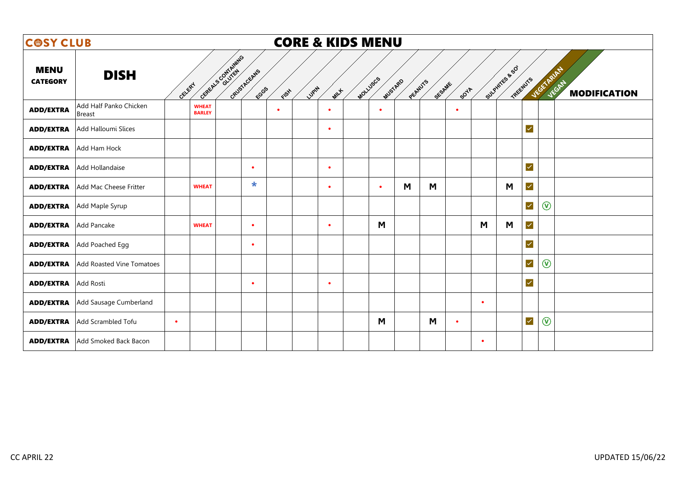| <b>COSY CLUB</b>               |                                  |                               |                              |       |             | <b>CORE &amp; KIDS MENU</b> |                     |         |                       |           |                |                      |                                                           |
|--------------------------------|----------------------------------|-------------------------------|------------------------------|-------|-------------|-----------------------------|---------------------|---------|-----------------------|-----------|----------------|----------------------|-----------------------------------------------------------|
| <b>MENU</b><br><b>CATEGORY</b> | <b>DISH</b>                      | General Contrating<br>CELERY  | GRUSTACEANS<br>FCGGS<br>FISH | LUPIN | <b>MILL</b> |                             | MOLLUSCS<br>MUSTARD | PEANUTS | SESAME<br><b>SOTA</b> |           | Sulphites & SO | TREEWUYS             | <b>JEGETARIAN</b><br><b>JEGATA</b><br><b>MODIFICATION</b> |
| <b>ADD/EXTRA</b>               | Add Half Panko Chicken<br>Breast | <b>WHEAT</b><br><b>BARLEY</b> | $\bullet$                    |       | $\bullet$   |                             | $\bullet$           |         | $\bullet$             |           |                |                      |                                                           |
| <b>ADD/EXTRA</b>               | Add Halloumi Slices              |                               |                              |       | $\bullet$   |                             |                     |         |                       |           |                | $\blacktriangledown$ |                                                           |
| <b>ADD/EXTRA</b>               | Add Ham Hock                     |                               |                              |       |             |                             |                     |         |                       |           |                |                      |                                                           |
| <b>ADD/EXTRA</b>               | Add Hollandaise                  |                               | $\bullet$                    |       | $\bullet$   |                             |                     |         |                       |           |                | $\blacktriangledown$ |                                                           |
| <b>ADD/EXTRA</b>               | Add Mac Cheese Fritter           | <b>WHEAT</b>                  | $\ast$                       |       | $\bullet$   |                             | $\bullet$           | M       | M                     |           | M              | $\checkmark$         |                                                           |
| <b>ADD/EXTRA</b>               | Add Maple Syrup                  |                               |                              |       |             |                             |                     |         |                       |           |                | $\blacktriangledown$ | $\circledcirc$                                            |
| <b>ADD/EXTRA</b>               | Add Pancake                      | <b>WHEAT</b>                  | $\bullet$                    |       | $\bullet$   |                             | M                   |         |                       | M         | M              | $\checkmark$         |                                                           |
| <b>ADD/EXTRA</b>               | Add Poached Egg                  |                               | $\bullet$                    |       |             |                             |                     |         |                       |           |                | $\checkmark$         |                                                           |
| <b>ADD/EXTRA</b>               | Add Roasted Vine Tomatoes        |                               |                              |       |             |                             |                     |         |                       |           |                | $\checkmark$         | $\circledcirc$                                            |
| <b>ADD/EXTRA</b>               | Add Rosti                        |                               | $\bullet$                    |       | $\bullet$   |                             |                     |         |                       |           |                | $\checkmark$         |                                                           |
| <b>ADD/EXTRA</b>               | Add Sausage Cumberland           |                               |                              |       |             |                             |                     |         |                       | $\bullet$ |                |                      |                                                           |
| <b>ADD/EXTRA</b>               | Add Scrambled Tofu               | $\bullet$                     |                              |       |             |                             | M                   |         | M<br>$\bullet$        |           |                | $\blacktriangledown$ | $\circledcirc$                                            |
| <b>ADD/EXTRA</b>               | Add Smoked Back Bacon            |                               |                              |       |             |                             |                     |         |                       | $\bullet$ |                |                      |                                                           |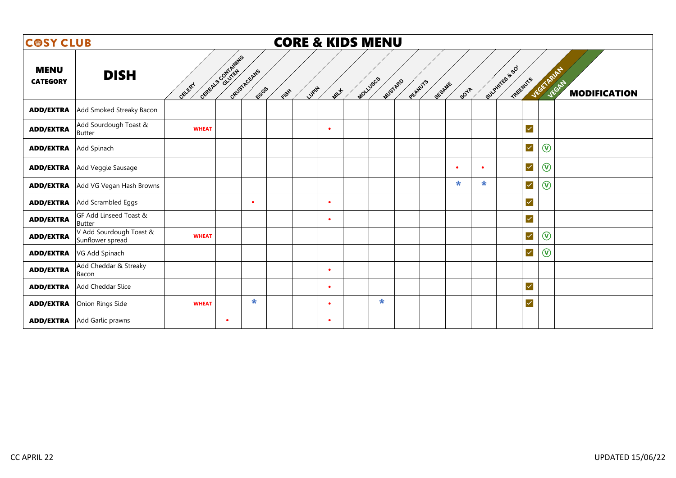| <b>COSY CLUB</b>               |                                             |                                                             | <b>CORE &amp; KIDS MENU</b> |          |         |         |        |                        |                      |                |                                     |
|--------------------------------|---------------------------------------------|-------------------------------------------------------------|-----------------------------|----------|---------|---------|--------|------------------------|----------------------|----------------|-------------------------------------|
| <b>MENU</b><br><b>CATEGORY</b> | <b>DISH</b>                                 | General Contrating<br>GRUSTACEANS<br>GELERY<br>ECGS<br>FISH | Lugity<br>MILLE             | MOLLUSCS | MUSTARD | PEANUTS | SESAME | Sulphirts & SO<br>50YA | TREENUTS             | VEGETARIAN     | <b>JEGAN</b><br><b>MODIFICATION</b> |
| <b>ADD/EXTRA</b>               | Add Smoked Streaky Bacon                    |                                                             |                             |          |         |         |        |                        |                      |                |                                     |
| <b>ADD/EXTRA</b>               | Add Sourdough Toast &<br><b>Butter</b>      | <b>WHEAT</b>                                                | $\bullet$                   |          |         |         |        |                        | $\checkmark$         |                |                                     |
| <b>ADD/EXTRA</b>               | Add Spinach                                 |                                                             |                             |          |         |         |        |                        | $\blacktriangledown$ | $\circledR$    |                                     |
| <b>ADD/EXTRA</b>               | Add Veggie Sausage                          |                                                             |                             |          |         |         |        | $\bullet$<br>$\bullet$ | $\checkmark$         | $\circledcirc$ |                                     |
| <b>ADD/EXTRA</b>               | Add VG Vegan Hash Browns                    |                                                             |                             |          |         |         |        | $\star$<br>$\star$     | $\checkmark$         | $\circledcirc$ |                                     |
| <b>ADD/EXTRA</b>               | Add Scrambled Eggs                          | $\bullet$                                                   | $\bullet$                   |          |         |         |        |                        | $\checkmark$         |                |                                     |
| <b>ADD/EXTRA</b>               | GF Add Linseed Toast &<br><b>Butter</b>     |                                                             | $\bullet$                   |          |         |         |        |                        | $\blacktriangledown$ |                |                                     |
| <b>ADD/EXTRA</b>               | V Add Sourdough Toast &<br>Sunflower spread | <b>WHEAT</b>                                                |                             |          |         |         |        |                        | $\blacktriangledown$ | $\circledR$    |                                     |
| <b>ADD/EXTRA</b>               | VG Add Spinach                              |                                                             |                             |          |         |         |        |                        | $\checkmark$         | $\circledR$    |                                     |
| <b>ADD/EXTRA</b>               | Add Cheddar & Streaky<br>Bacon              |                                                             | $\bullet$                   |          |         |         |        |                        |                      |                |                                     |
| <b>ADD/EXTRA</b>               | Add Cheddar Slice                           |                                                             | $\bullet$                   |          |         |         |        |                        | $\blacktriangledown$ |                |                                     |
| <b>ADD/EXTRA</b>               | Onion Rings Side                            | $\star$<br><b>WHEAT</b>                                     | $\bullet$                   |          | $\star$ |         |        |                        | $\blacktriangledown$ |                |                                     |
| <b>ADD/EXTRA</b>               | Add Garlic prawns                           | $\bullet$                                                   | $\bullet$                   |          |         |         |        |                        |                      |                |                                     |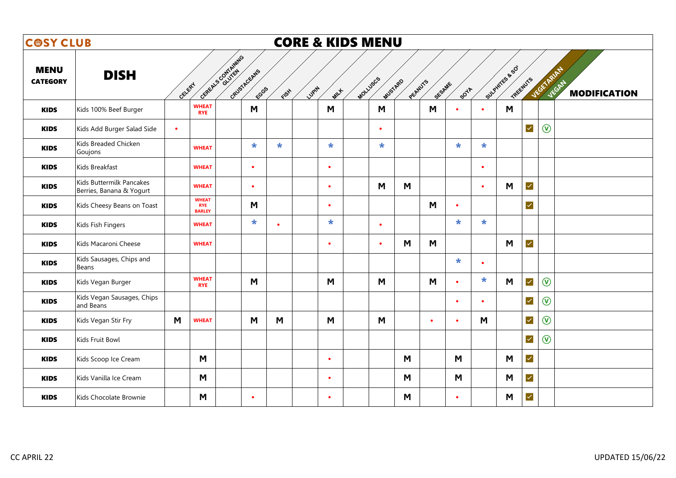| <b>COSY CLUB</b>               |                                                      |           |                                             |                    |                      |           | <b>CORE &amp; KIDS MENU</b> |             |          |           |          |           |             |           |                            |                      |                |                                     |
|--------------------------------|------------------------------------------------------|-----------|---------------------------------------------|--------------------|----------------------|-----------|-----------------------------|-------------|----------|-----------|----------|-----------|-------------|-----------|----------------------------|----------------------|----------------|-------------------------------------|
| <b>MENU</b><br><b>CATEGORY</b> | <b>DISH</b>                                          | GELERY    |                                             | GEREALS CONTAINING | GRUSTAGEANS<br>FCGGS | EISH      | LUPIN                       | <b>MILL</b> | MOLLUSCS | MUSTARD   | PECANUTS | SESAME    | <b>SOVA</b> |           | Sulphirts & SO<br>TREENUTS |                      | JEGET RAID     | <b>JEGAN</b><br><b>MODIFICATION</b> |
| <b>KIDS</b>                    | Kids 100% Beef Burger                                |           | <b>WHEAT</b><br><b>RYE</b>                  |                    | M                    |           |                             | M           |          | M         |          | M         |             | $\bullet$ | M                          |                      |                |                                     |
| <b>KIDS</b>                    | Kids Add Burger Salad Side                           | $\bullet$ |                                             |                    |                      |           |                             |             |          | $\bullet$ |          |           |             |           |                            | $\checkmark$         | $\circledR$    |                                     |
| <b>KIDS</b>                    | Kids Breaded Chicken<br>Goujons                      |           | <b>WHEAT</b>                                |                    | $\star$              | $\star$   |                             | $\star$     |          | $\star$   |          |           | $\star$     | $\star$   |                            |                      |                |                                     |
| <b>KIDS</b>                    | Kids Breakfast                                       |           | <b>WHEAT</b>                                |                    | $\bullet$            |           |                             | $\bullet$   |          |           |          |           |             | $\bullet$ |                            |                      |                |                                     |
| <b>KIDS</b>                    | Kids Buttermilk Pancakes<br>Berries, Banana & Yogurt |           | <b>WHEAT</b>                                |                    | $\bullet$            |           |                             | $\bullet$   |          | M         | M        |           |             | $\bullet$ | M                          | $\checkmark$         |                |                                     |
| <b>KIDS</b>                    | Kids Cheesy Beans on Toast                           |           | <b>WHEAT</b><br><b>RYE</b><br><b>BARLEY</b> |                    | M                    |           |                             | $\bullet$   |          |           |          | M         | $\bullet$   |           |                            | $\checkmark$         |                |                                     |
| <b>KIDS</b>                    | Kids Fish Fingers                                    |           | <b>WHEAT</b>                                |                    | $\star$              | $\bullet$ |                             | $\ast$      |          | $\bullet$ |          |           | $\star$     | $\ast$    |                            |                      |                |                                     |
| <b>KIDS</b>                    | Kids Macaroni Cheese                                 |           | <b>WHEAT</b>                                |                    |                      |           |                             | $\bullet$   |          | $\bullet$ | M        | M         |             |           | M                          | $\checkmark$         |                |                                     |
| <b>KIDS</b>                    | Kids Sausages, Chips and<br>Beans                    |           |                                             |                    |                      |           |                             |             |          |           |          |           | $\star$     | $\bullet$ |                            |                      |                |                                     |
| <b>KIDS</b>                    | Kids Vegan Burger                                    |           | <b>WHEAT</b><br><b>RYE</b>                  |                    | M                    |           |                             | M           |          | M         |          | M         | $\bullet$   | $\ast$    | M                          | $\checkmark$         | $\circledcirc$ |                                     |
| <b>KIDS</b>                    | Kids Vegan Sausages, Chips<br>and Beans              |           |                                             |                    |                      |           |                             |             |          |           |          |           | $\bullet$   | $\bullet$ |                            | $\checkmark$         | $\circledcirc$ |                                     |
| <b>KIDS</b>                    | Kids Vegan Stir Fry                                  | M         | <b>WHEAT</b>                                |                    | M                    | M         |                             | M           |          | M         |          | $\bullet$ | $\bullet$   | M         |                            | $\checkmark$         | $\circledcirc$ |                                     |
| <b>KIDS</b>                    | Kids Fruit Bowl                                      |           |                                             |                    |                      |           |                             |             |          |           |          |           |             |           |                            | $\blacktriangledown$ | $\circledcirc$ |                                     |
| <b>KIDS</b>                    | Kids Scoop Ice Cream                                 |           | M                                           |                    |                      |           |                             | $\bullet$   |          |           | M        |           | M           |           | M                          | $\checkmark$         |                |                                     |
| <b>KIDS</b>                    | Kids Vanilla Ice Cream                               |           | M                                           |                    |                      |           |                             | $\bullet$   |          |           | M        |           | M           |           | M                          | $\prec$              |                |                                     |
| <b>KIDS</b>                    | Kids Chocolate Brownie                               |           | M                                           |                    | $\bullet$            |           |                             | $\bullet$   |          |           | M        |           | $\bullet$   |           | M                          | $\checkmark$         |                |                                     |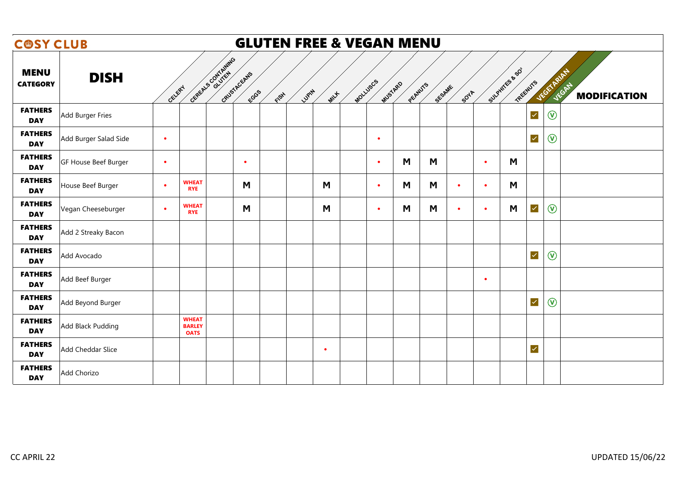| <b>COSY CLUB</b>               |                       |           |                                              | <b>GLUTEN FREE &amp; VEGAN MENU</b> |        |           |          |           |         |        |             |           |                            |                   |                               |
|--------------------------------|-----------------------|-----------|----------------------------------------------|-------------------------------------|--------|-----------|----------|-----------|---------|--------|-------------|-----------|----------------------------|-------------------|-------------------------------|
| <b>MENU</b><br><b>CATEGORY</b> | <b>DISH</b>           | CELERY    | CEREALS CONTAINING                           | GRUSTACEANS<br>ECGGS<br>FISH        | Lugity | MILLE     | MOLLUSCS | MUSTARD   | PEANUTS | SESAME | <b>907A</b> |           | Sulphites & SO<br>TREENUTS | <b>VEGETARIAN</b> | JEGATY<br><b>MODIFICATION</b> |
| <b>FATHERS</b><br><b>DAY</b>   | Add Burger Fries      |           |                                              |                                     |        |           |          |           |         |        |             |           | $\blacktriangledown$       | $\circledcirc$    |                               |
| <b>FATHERS</b><br><b>DAY</b>   | Add Burger Salad Side | $\bullet$ |                                              |                                     |        |           |          | $\bullet$ |         |        |             |           | $\blacktriangledown$       | $\circledR$       |                               |
| <b>FATHERS</b><br><b>DAY</b>   | GF House Beef Burger  | $\bullet$ |                                              | $\bullet$                           |        |           |          | $\bullet$ | M       | M      |             | $\bullet$ | M                          |                   |                               |
| <b>FATHERS</b><br><b>DAY</b>   | House Beef Burger     | $\bullet$ | <b>WHEAT</b><br><b>RYE</b>                   | M                                   |        | M         |          | $\bullet$ | M       | M      | $\bullet$   | $\bullet$ | M                          |                   |                               |
| <b>FATHERS</b><br><b>DAY</b>   | Vegan Cheeseburger    | $\bullet$ | <b>WHEAT</b><br><b>RYE</b>                   | M                                   |        | M         |          | $\bullet$ | M       | M      | $\bullet$   | $\bullet$ | $\blacktriangledown$<br>M  | $\circledcirc$    |                               |
| <b>FATHERS</b><br><b>DAY</b>   | Add 2 Streaky Bacon   |           |                                              |                                     |        |           |          |           |         |        |             |           |                            |                   |                               |
| <b>FATHERS</b><br><b>DAY</b>   | Add Avocado           |           |                                              |                                     |        |           |          |           |         |        |             |           | $\blacktriangledown$       | $\circledcirc$    |                               |
| <b>FATHERS</b><br><b>DAY</b>   | Add Beef Burger       |           |                                              |                                     |        |           |          |           |         |        |             | $\bullet$ |                            |                   |                               |
| <b>FATHERS</b><br><b>DAY</b>   | Add Beyond Burger     |           |                                              |                                     |        |           |          |           |         |        |             |           | $\checkmark$               | $\circledcirc$    |                               |
| <b>FATHERS</b><br><b>DAY</b>   | Add Black Pudding     |           | <b>WHEAT</b><br><b>BARLEY</b><br><b>OATS</b> |                                     |        |           |          |           |         |        |             |           |                            |                   |                               |
| <b>FATHERS</b><br><b>DAY</b>   | Add Cheddar Slice     |           |                                              |                                     |        | $\bullet$ |          |           |         |        |             |           | $\checkmark$               |                   |                               |
| <b>FATHERS</b><br><b>DAY</b>   | Add Chorizo           |           |                                              |                                     |        |           |          |           |         |        |             |           |                            |                   |                               |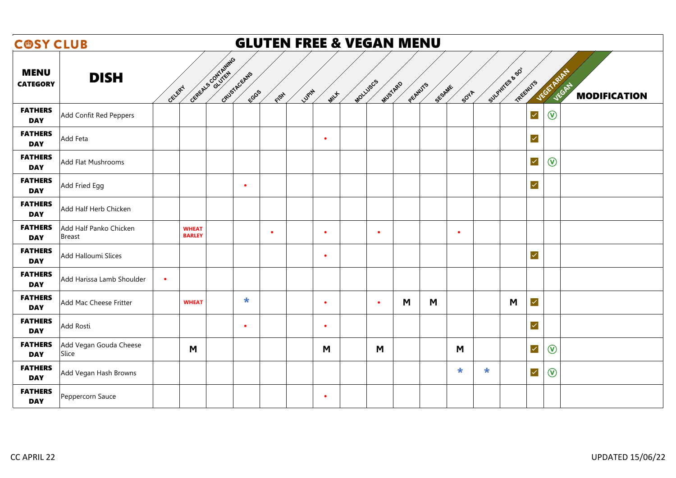| <b>COSY CLUB</b>               |                                         |                               |                                        |           |           |       |           |          | <b>GLUTEN FREE &amp; VEGAN MENU</b> |         |        |           |        |                            |                         |                |                              |
|--------------------------------|-----------------------------------------|-------------------------------|----------------------------------------|-----------|-----------|-------|-----------|----------|-------------------------------------|---------|--------|-----------|--------|----------------------------|-------------------------|----------------|------------------------------|
| <b>MENU</b><br><b>CATEGORY</b> | <b>DISH</b>                             | GELERY                        | Contraction of Divine B<br>GRUSTAGEANS | ECGGS     | FISH      | LUPIN | MILLE     | MOLLUSCS | MUSTARD                             | PEANUTS | SESAME | SOYA      |        | Sulphites & SO<br>TREENUTS |                         | VEGETARIAN     | JEGAN<br><b>MODIFICATION</b> |
| <b>FATHERS</b><br><b>DAY</b>   | Add Confit Red Peppers                  |                               |                                        |           |           |       |           |          |                                     |         |        |           |        |                            | $\blacktriangledown$    | $\circledR$    |                              |
| <b>FATHERS</b><br><b>DAY</b>   | Add Feta                                |                               |                                        |           |           |       | $\bullet$ |          |                                     |         |        |           |        |                            | $\overline{\mathsf{v}}$ |                |                              |
| <b>FATHERS</b><br><b>DAY</b>   | Add Flat Mushrooms                      |                               |                                        |           |           |       |           |          |                                     |         |        |           |        |                            | $\checkmark$            | $\circledR$    |                              |
| <b>FATHERS</b><br><b>DAY</b>   | Add Fried Egg                           |                               |                                        | $\bullet$ |           |       |           |          |                                     |         |        |           |        |                            | $\blacktriangledown$    |                |                              |
| <b>FATHERS</b><br><b>DAY</b>   | Add Half Herb Chicken                   |                               |                                        |           |           |       |           |          |                                     |         |        |           |        |                            |                         |                |                              |
| <b>FATHERS</b><br><b>DAY</b>   | Add Half Panko Chicken<br><b>Breast</b> | <b>WHEAT</b><br><b>BARLEY</b> |                                        |           | $\bullet$ |       | $\bullet$ |          | $\bullet$                           |         |        | $\bullet$ |        |                            |                         |                |                              |
| <b>FATHERS</b><br><b>DAY</b>   | Add Halloumi Slices                     |                               |                                        |           |           |       | $\bullet$ |          |                                     |         |        |           |        |                            | $\overline{\mathsf{v}}$ |                |                              |
| <b>FATHERS</b><br><b>DAY</b>   | Add Harissa Lamb Shoulder               | $\bullet$                     |                                        |           |           |       |           |          |                                     |         |        |           |        |                            |                         |                |                              |
| <b>FATHERS</b><br><b>DAY</b>   | Add Mac Cheese Fritter                  | <b>WHEAT</b>                  |                                        | $\star$   |           |       | $\bullet$ |          | $\bullet$                           | M       | M      |           |        | M                          | $\blacktriangledown$    |                |                              |
| <b>FATHERS</b><br><b>DAY</b>   | Add Rosti                               |                               |                                        | $\bullet$ |           |       | $\bullet$ |          |                                     |         |        |           |        |                            | $\blacktriangledown$    |                |                              |
| <b>FATHERS</b><br><b>DAY</b>   | Add Vegan Gouda Cheese<br>Slice         | M                             |                                        |           |           |       | M         |          | M                                   |         |        | M         |        |                            | $\checkmark$            | $\circledcirc$ |                              |
| <b>FATHERS</b><br><b>DAY</b>   | Add Vegan Hash Browns                   |                               |                                        |           |           |       |           |          |                                     |         |        | $\star$   | $\ast$ |                            | $\blacktriangledown$    | $\circledR$    |                              |
| <b>FATHERS</b><br><b>DAY</b>   | Peppercorn Sauce                        |                               |                                        |           |           |       | $\bullet$ |          |                                     |         |        |           |        |                            |                         |                |                              |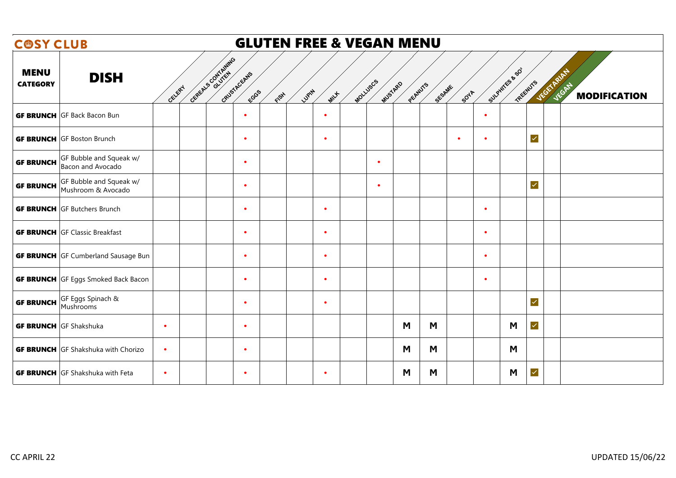| <b>COSY CLUB</b>                                                  |           |                    |                      |      |       |           |          | <b>GLUTEN FREE &amp; VEGAN MENU</b> |        |             |                |                         |                                                          |
|-------------------------------------------------------------------|-----------|--------------------|----------------------|------|-------|-----------|----------|-------------------------------------|--------|-------------|----------------|-------------------------|----------------------------------------------------------|
| <b>MENU</b><br><b>DISH</b><br><b>CATEGORY</b>                     | GELERY    | CEREALS CONTAINING | GRUSTACEANS<br>ECGGS | FISH | LUPIN | MILLE     | MOLLUSCS | MUSTARD<br>PEANUTS                  | SESAME | <b>SOTA</b> | SULPHITES & SO | TREENUTS                | <b>JEGETARIAN</b><br><b>JEGAT</b><br><b>MODIFICATION</b> |
| <b>GF BRUNCH</b> GF Back Bacon Bun                                |           |                    | $\bullet$            |      |       | $\bullet$ |          |                                     |        | $\bullet$   |                |                         |                                                          |
| <b>GF BRUNCH</b> GF Boston Brunch                                 |           |                    | $\bullet$            |      |       | $\bullet$ |          |                                     |        | $\bullet$   | $\bullet$      | $\checkmark$            |                                                          |
| GF Bubble and Squeak w/<br><b>GF BRUNCH</b><br>Bacon and Avocado  |           |                    | $\bullet$            |      |       |           |          | $\bullet$                           |        |             |                |                         |                                                          |
| GF Bubble and Squeak w/<br><b>GF BRUNCH</b><br>Mushroom & Avocado |           |                    | $\bullet$            |      |       |           |          | $\bullet$                           |        |             |                | $\overline{\mathsf{S}}$ |                                                          |
| <b>GF BRUNCH</b> GF Butchers Brunch                               |           |                    | $\bullet$            |      |       | $\bullet$ |          |                                     |        |             | $\bullet$      |                         |                                                          |
| <b>GF BRUNCH</b> GF Classic Breakfast                             |           |                    | $\bullet$            |      |       | $\bullet$ |          |                                     |        |             | $\bullet$      |                         |                                                          |
| <b>GF BRUNCH</b> GF Cumberland Sausage Bun                        |           |                    | $\bullet$            |      |       | $\bullet$ |          |                                     |        |             | $\bullet$      |                         |                                                          |
| <b>GF BRUNCH</b> GF Eggs Smoked Back Bacon                        |           |                    | $\bullet$            |      |       | $\bullet$ |          |                                     |        |             | $\bullet$      |                         |                                                          |
| GF Eggs Spinach &<br><b>GF BRUNCH</b><br>Mushrooms                |           |                    | $\bullet$            |      |       | $\bullet$ |          |                                     |        |             |                | $\overline{\mathsf{v}}$ |                                                          |
| <b>GF BRUNCH</b> GF Shakshuka                                     | $\bullet$ |                    | $\bullet$            |      |       |           |          | M                                   | M      |             | M              | $\overline{\mathsf{v}}$ |                                                          |
| <b>GF BRUNCH</b> GF Shakshuka with Chorizo                        | $\bullet$ |                    | $\bullet$            |      |       |           |          | M                                   | M      |             | M              |                         |                                                          |
| <b>GF BRUNCH</b> GF Shakshuka with Feta                           | $\bullet$ |                    | $\bullet$            |      |       | $\bullet$ |          | M                                   | M      |             | M              | $\blacktriangledown$    |                                                          |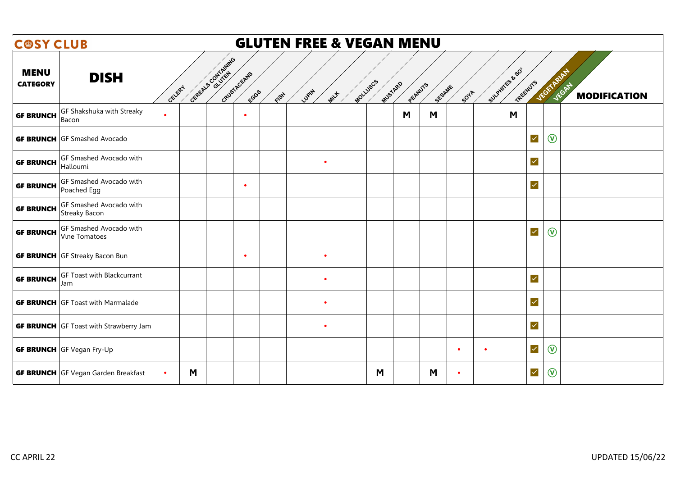| <b>COSY CLUB</b>               |                                                 |           |   |                                            |      |                 |          | <b>GLUTEN FREE &amp; VEGAN MENU</b> |        |                        |                            |                         |                |                              |
|--------------------------------|-------------------------------------------------|-----------|---|--------------------------------------------|------|-----------------|----------|-------------------------------------|--------|------------------------|----------------------------|-------------------------|----------------|------------------------------|
| <b>MENU</b><br><b>CATEGORY</b> | <b>DISH</b>                                     | GELERY    |   | CEREALS CONTAINING<br>GRUSTACEANS<br>FCGGS | FISH | Lugity<br>MILLE | MOLLUSCS | MUSTARD<br>PEANUTS                  | SESAME | <b>SOTA</b>            | Sulphites & SO<br>TREENUTS |                         | VEGETARIAN     | JEGAT<br><b>MODIFICATION</b> |
| <b>GF BRUNCH</b>               | GF Shakshuka with Streaky<br>Bacon              | $\bullet$ |   | $\bullet$                                  |      |                 |          | M                                   | M      |                        | M                          |                         |                |                              |
|                                | <b>GF BRUNCH</b> GF Smashed Avocado             |           |   |                                            |      |                 |          |                                     |        |                        |                            | $\overline{\mathsf{v}}$ | $\circledR$    |                              |
| <b>GF BRUNCH</b>               | GF Smashed Avocado with<br>Halloumi             |           |   |                                            |      | $\bullet$       |          |                                     |        |                        |                            | $\overline{\mathsf{v}}$ |                |                              |
| <b>GF BRUNCH</b>               | GF Smashed Avocado with<br>Poached Egg          |           |   | $\bullet$                                  |      |                 |          |                                     |        |                        |                            | $\blacktriangledown$    |                |                              |
| <b>GF BRUNCH</b>               | GF Smashed Avocado with<br><b>Streaky Bacon</b> |           |   |                                            |      |                 |          |                                     |        |                        |                            |                         |                |                              |
| <b>GF BRUNCH</b>               | GF Smashed Avocado with<br>Vine Tomatoes        |           |   |                                            |      |                 |          |                                     |        |                        |                            | $\blacktriangledown$    | $\circledcirc$ |                              |
|                                | <b>GF BRUNCH</b> GF Streaky Bacon Bun           |           |   | $\bullet$                                  |      | $\bullet$       |          |                                     |        |                        |                            |                         |                |                              |
| <b>GF BRUNCH</b>               | GF Toast with Blackcurrant<br>Jam               |           |   |                                            |      | $\bullet$       |          |                                     |        |                        |                            | $\blacktriangledown$    |                |                              |
|                                | <b>GF BRUNCH</b> GF Toast with Marmalade        |           |   |                                            |      | $\bullet$       |          |                                     |        |                        |                            | $\overline{\mathsf{v}}$ |                |                              |
|                                | <b>GF BRUNCH</b> GF Toast with Strawberry Jam   |           |   |                                            |      | $\bullet$       |          |                                     |        |                        |                            | $\blacktriangledown$    |                |                              |
|                                | <b>GF BRUNCH</b> GF Vegan Fry-Up                |           |   |                                            |      |                 |          |                                     |        | $\bullet$<br>$\bullet$ |                            | $\blacktriangledown$    | $\circledR$    |                              |
|                                | <b>GF BRUNCH</b> GF Vegan Garden Breakfast      | $\bullet$ | M |                                            |      |                 |          | M                                   | M      | ٠                      |                            | $\blacktriangledown$    | $\circledR$    |                              |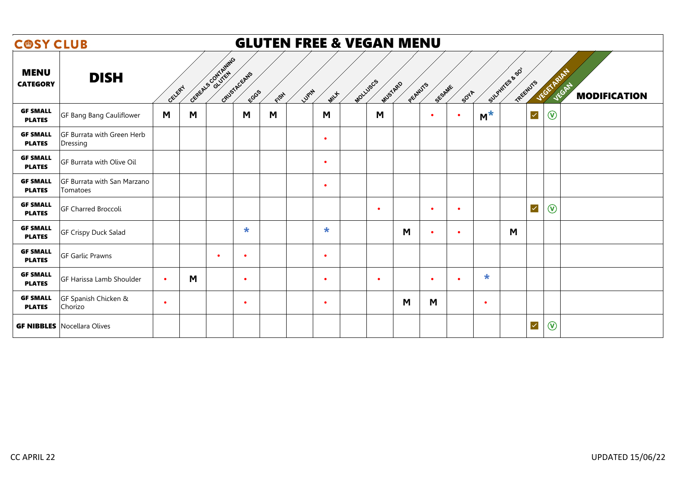| <b>COSY CLUB</b>                 |                                         |           |   |                                             |      | <b>GLUTEN FREE &amp; VEGAN MENU</b> |          |           |         |           |             |                                              |                               |
|----------------------------------|-----------------------------------------|-----------|---|---------------------------------------------|------|-------------------------------------|----------|-----------|---------|-----------|-------------|----------------------------------------------|-------------------------------|
| <b>MENU</b><br><b>CATEGORY</b>   | <b>DISH</b>                             | GELERY    |   | Gereta S Contrating<br>GRUSTAGEANS<br>ECGGS | FISH | LUPIN<br><b>MILL</b>                | MOLLUSCS | MUSTARD   | PEANUTS | SESAME    | <b>SOTA</b> | SULPHITES & SO<br>JEGETARIAN<br>TREENUTS     | JEGATY<br><b>MODIFICATION</b> |
| <b>GF SMALL</b><br><b>PLATES</b> | GF Bang Bang Cauliflower                | M         | M | M                                           | M    | M                                   |          | M         |         | $\bullet$ | $\bullet$   | $M^*$<br>$\blacktriangledown$<br>$\circledR$ |                               |
| <b>GF SMALL</b><br><b>PLATES</b> | GF Burrata with Green Herb<br>Dressing  |           |   |                                             |      | $\bullet$                           |          |           |         |           |             |                                              |                               |
| <b>GF SMALL</b><br><b>PLATES</b> | GF Burrata with Olive Oil               |           |   |                                             |      | $\bullet$                           |          |           |         |           |             |                                              |                               |
| <b>GF SMALL</b><br><b>PLATES</b> | GF Burrata with San Marzano<br>Tomatoes |           |   |                                             |      | $\bullet$                           |          |           |         |           |             |                                              |                               |
| <b>GF SMALL</b><br><b>PLATES</b> | <b>GF Charred Broccoli</b>              |           |   |                                             |      |                                     |          | $\bullet$ |         | $\bullet$ | $\bullet$   | $\circledR$<br>$\blacktriangledown$          |                               |
| <b>GF SMALL</b><br><b>PLATES</b> | GF Crispy Duck Salad                    |           |   | $\star$                                     |      | $\ast$                              |          |           | M       | $\bullet$ | $\bullet$   | M                                            |                               |
| <b>GF SMALL</b><br><b>PLATES</b> | <b>GF Garlic Prawns</b>                 |           |   | $\bullet$<br>$\bullet$                      |      | $\bullet$                           |          |           |         |           |             |                                              |                               |
| <b>GF SMALL</b><br><b>PLATES</b> | GF Harissa Lamb Shoulder                | $\bullet$ | M | $\bullet$                                   |      | $\bullet$                           |          | $\bullet$ |         | $\bullet$ | $\bullet$   | $\ast$                                       |                               |
| <b>GF SMALL</b><br><b>PLATES</b> | GF Spanish Chicken &<br>Chorizo         | $\bullet$ |   | $\bullet$                                   |      | $\bullet$                           |          |           | M       | M         |             | $\bullet$                                    |                               |
|                                  | <b>GF NIBBLES</b> Nocellara Olives      |           |   |                                             |      |                                     |          |           |         |           |             | $\circledR$<br>$\checkmark$                  |                               |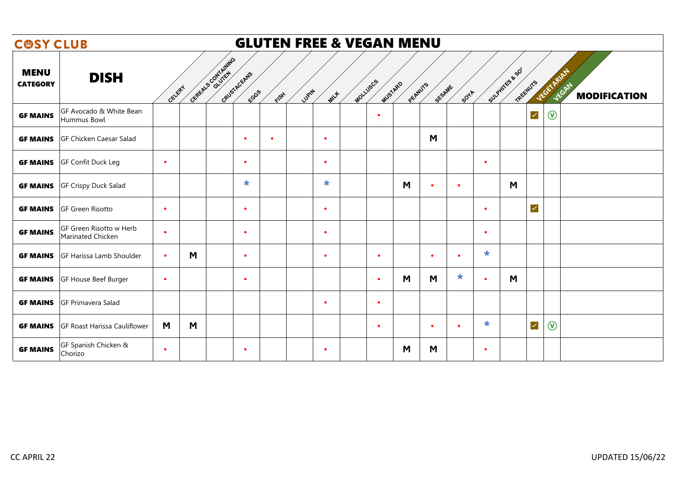| <b>COSY CLUB</b>               |                                              |           |                    | <b>GLUTEN FREE &amp; VEGAN MENU</b> |       |           |          |           |         |           |           |           |                          |                   |                              |
|--------------------------------|----------------------------------------------|-----------|--------------------|-------------------------------------|-------|-----------|----------|-----------|---------|-----------|-----------|-----------|--------------------------|-------------------|------------------------------|
| <b>MENU</b><br><b>CATEGORY</b> | <b>DISH</b>                                  | CELERY    | CEREALS CONTAINING | GRUSTACEANS<br>ECGS<br>FISH         | LUPIN | MILLE     | MOLLUSCS | MUSTARD   | PEANUTS | SESAME    | SOYA      |           | SULPHTES & SO<br>TREEWYS | <b>JEGETARIAN</b> | JEGAT<br><b>MODIFICATION</b> |
| <b>GF MAINS</b>                | GF Avocado & White Bean<br>Hummus Bowl       |           |                    |                                     |       |           |          | $\bullet$ |         |           |           |           | $\checkmark$             | $\circledcirc$    |                              |
| <b>GF MAINS</b>                | GF Chicken Caesar Salad                      |           |                    | $\bullet$<br>$\bullet$              |       | $\bullet$ |          |           |         | M         |           |           |                          |                   |                              |
| <b>GF MAINS</b>                | GF Confit Duck Leg                           | $\bullet$ |                    | $\bullet$                           |       | $\bullet$ |          |           |         |           |           | $\bullet$ |                          |                   |                              |
| <b>GF MAINS</b>                | <b>GF Crispy Duck Salad</b>                  |           |                    | $\star$                             |       | $\ast$    |          |           | M       | $\bullet$ | $\bullet$ |           | M                        |                   |                              |
| <b>GF MAINS</b>                | <b>GF Green Risotto</b>                      | $\bullet$ |                    | $\bullet$                           |       | $\bullet$ |          |           |         |           |           | $\bullet$ | $\overline{\mathsf{v}}$  |                   |                              |
| <b>GF MAINS</b>                | GF Green Risotto w Herb<br>Marinated Chicken | $\bullet$ |                    | $\bullet$                           |       | $\bullet$ |          |           |         |           |           | $\bullet$ |                          |                   |                              |
| <b>GF MAINS</b>                | GF Harissa Lamb Shoulder                     | $\bullet$ | M                  | $\bullet$                           |       | $\bullet$ |          | $\bullet$ |         | $\bullet$ | $\bullet$ | $\star$   |                          |                   |                              |
| <b>GF MAINS</b>                | GF House Beef Burger                         | $\bullet$ |                    | $\bullet$                           |       |           |          | $\bullet$ | M       | M         | $\ast$    | $\bullet$ | M                        |                   |                              |
| <b>GF MAINS</b>                | GF Primavera Salad                           |           |                    |                                     |       | $\bullet$ |          | $\bullet$ |         |           |           |           |                          |                   |                              |
| <b>GF MAINS</b>                | <b>GF Roast Harissa Cauliflower</b>          | M         | M                  |                                     |       |           |          | $\bullet$ |         | $\bullet$ | $\bullet$ | $\star$   | $\overline{\mathsf{v}}$  | $\circledR$       |                              |
| <b>GF MAINS</b>                | GF Spanish Chicken &<br>Chorizo              | $\bullet$ |                    | $\bullet$                           |       | $\bullet$ |          |           | M       | M         |           | $\bullet$ |                          |                   |                              |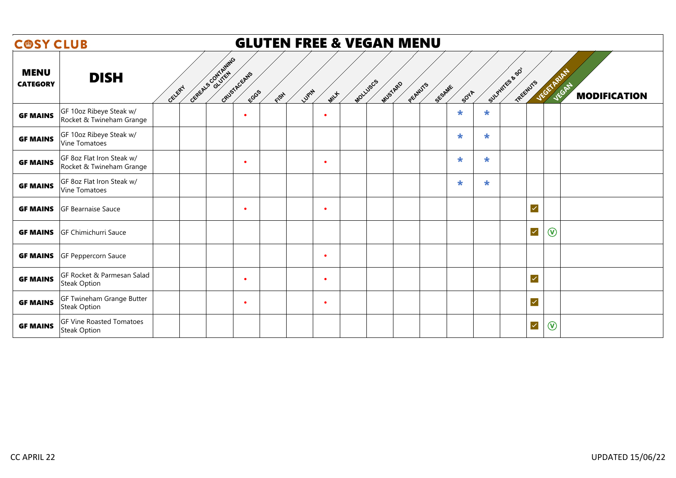| <b>COSY CLUB</b>               |                                                        |                                            |               |                   | <b>GLUTEN FREE &amp; VEGAN MENU</b> |        |         |         |                            |                   |                              |
|--------------------------------|--------------------------------------------------------|--------------------------------------------|---------------|-------------------|-------------------------------------|--------|---------|---------|----------------------------|-------------------|------------------------------|
| <b>MENU</b><br><b>CATEGORY</b> | <b>DISH</b><br><b>GELERY</b>                           | GEREALS CONTAINING<br>GRUSTACEANS<br>ECGSS | LUPIN<br>FISH | MOLLUSCS<br>MILLE | MUSTARD<br>PEANUTS                  | SESAME | 50YA    |         | Sulphires & SO<br>TREENUTS | <b>JEGETARIAN</b> | JEGAT<br><b>MODIFICATION</b> |
| <b>GF MAINS</b>                | GF 10oz Ribeye Steak w/<br>Rocket & Twineham Grange    | $\bullet$                                  |               | $\bullet$         |                                     |        | $\ast$  | $\star$ |                            |                   |                              |
| <b>GF MAINS</b>                | GF 10oz Ribeye Steak w/<br>Vine Tomatoes               |                                            |               |                   |                                     |        | $\star$ | $\star$ |                            |                   |                              |
| <b>GF MAINS</b>                | GF 8oz Flat Iron Steak w/<br>Rocket & Twineham Grange  | $\bullet$                                  |               |                   |                                     |        | $\star$ | $\star$ |                            |                   |                              |
| <b>GF MAINS</b>                | GF 8oz Flat Iron Steak w/<br><b>Vine Tomatoes</b>      |                                            |               |                   |                                     |        | $\star$ | $\star$ |                            |                   |                              |
| <b>GF MAINS</b>                | <b>GF Bearnaise Sauce</b>                              | $\bullet$                                  |               | $\bullet$         |                                     |        |         |         | $\blacktriangledown$       |                   |                              |
| <b>GF MAINS</b>                | <b>GF Chimichurri Sauce</b>                            |                                            |               |                   |                                     |        |         |         | $\blacktriangledown$       | $\circledcirc$    |                              |
| <b>GF MAINS</b>                | GF Peppercorn Sauce                                    |                                            |               |                   |                                     |        |         |         |                            |                   |                              |
| <b>GF MAINS</b>                | GF Rocket & Parmesan Salad<br><b>Steak Option</b>      | $\bullet$                                  |               |                   |                                     |        |         |         | $\overline{\mathcal{L}}$   |                   |                              |
| <b>GF MAINS</b>                | GF Twineham Grange Butter<br>Steak Option              | $\bullet$                                  |               | $\bullet$         |                                     |        |         |         | $\overline{\mathcal{L}}$   |                   |                              |
| <b>GF MAINS</b>                | <b>GF Vine Roasted Tomatoes</b><br><b>Steak Option</b> |                                            |               |                   |                                     |        |         |         | $\checkmark$               | $\circledR$       |                              |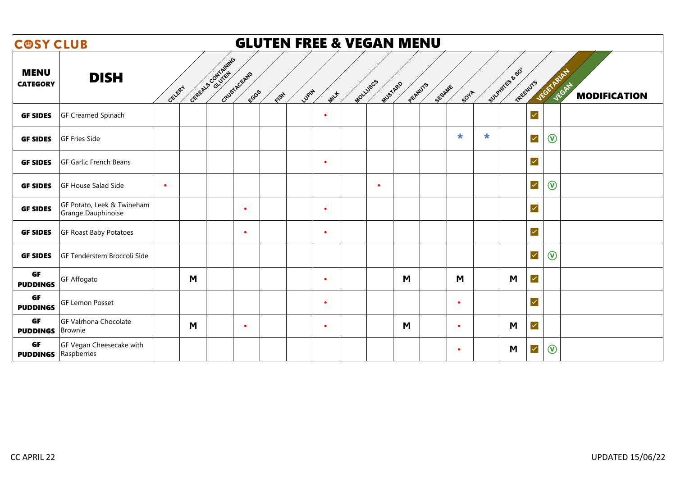| <b>COSY CLUB</b>               |                                                  |           |                    |                     |      | <b>GLUTEN FREE &amp; VEGAN MENU</b> |                     |         |        |           |         |                            |                   |                              |
|--------------------------------|--------------------------------------------------|-----------|--------------------|---------------------|------|-------------------------------------|---------------------|---------|--------|-----------|---------|----------------------------|-------------------|------------------------------|
| <b>MENU</b><br><b>CATEGORY</b> | <b>DISH</b>                                      | CELERY    | CEREALS CONTAINING | GRUSTACEANS<br>ECGS | FISH | LUPIN<br>MILLE                      | MOLLUSCS<br>MUSTARD | PEANUTS | SESAME | SOTA      |         | Sulphires & SO<br>TREENUTS | <b>JEGETARIAN</b> | JEGAT<br><b>MODIFICATION</b> |
| <b>GF SIDES</b>                | <b>GF Creamed Spinach</b>                        |           |                    |                     |      | $\bullet$                           |                     |         |        |           |         | $\checkmark$               |                   |                              |
| <b>GF SIDES</b>                | <b>GF Fries Side</b>                             |           |                    |                     |      |                                     |                     |         |        | $\ast$    | $\star$ | $\checkmark$               | $\circledR$       |                              |
| <b>GF SIDES</b>                | <b>GF Garlic French Beans</b>                    |           |                    |                     |      | $\bullet$                           |                     |         |        |           |         | $\blacktriangledown$       |                   |                              |
| <b>GF SIDES</b>                | <b>GF House Salad Side</b>                       | $\bullet$ |                    |                     |      |                                     | $\bullet$           |         |        |           |         | $\checkmark$               | $\circledR$       |                              |
| <b>GF SIDES</b>                | GF Potato, Leek & Twineham<br>Grange Dauphinoise |           |                    | $\bullet$           |      | $\bullet$                           |                     |         |        |           |         | $\blacktriangledown$       |                   |                              |
| <b>GF SIDES</b>                | <b>GF Roast Baby Potatoes</b>                    |           |                    | $\bullet$           |      | $\bullet$                           |                     |         |        |           |         | $\blacktriangledown$       |                   |                              |
| <b>GF SIDES</b>                | GF Tenderstem Broccoli Side                      |           |                    |                     |      |                                     |                     |         |        |           |         | $\blacktriangledown$       | $\circledR$       |                              |
| <b>GF</b><br><b>PUDDINGS</b>   | <b>GF Affogato</b>                               | M         |                    |                     |      | $\bullet$                           |                     | M       |        | M         |         | $\blacktriangledown$<br>M  |                   |                              |
| <b>GF</b><br><b>PUDDINGS</b>   | <b>GF Lemon Posset</b>                           |           |                    |                     |      | $\bullet$                           |                     |         |        | $\bullet$ |         | $\blacktriangledown$       |                   |                              |
| <b>GF</b><br><b>PUDDINGS</b>   | <b>GF Valrhona Chocolate</b><br><b>Brownie</b>   | M         |                    | $\bullet$           |      | $\bullet$                           |                     | M       |        | $\bullet$ |         | $\blacktriangledown$<br>M  |                   |                              |
| <b>GF</b><br><b>PUDDINGS</b>   | GF Vegan Cheesecake with<br>Raspberries          |           |                    |                     |      |                                     |                     |         |        | $\bullet$ |         | $\blacktriangledown$<br>M  | $\circledR$       |                              |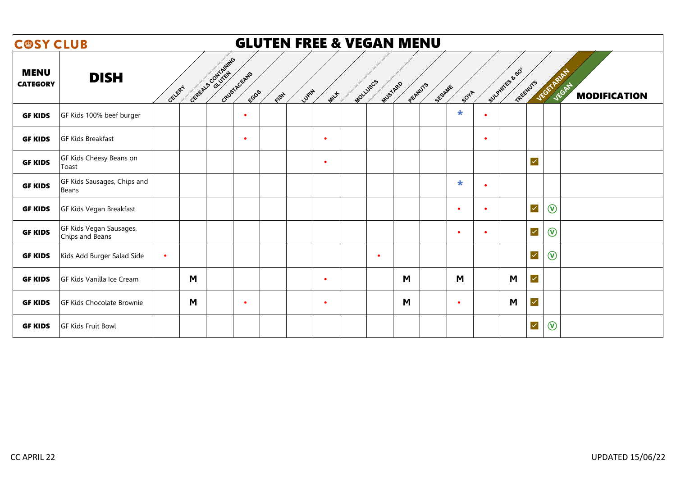| <b>COSY CLUB</b>               |                                            |           |                    |                      |      | <b>GLUTEN FREE &amp; VEGAN MENU</b> |          |                    |        |           |           |                              |                |                                     |
|--------------------------------|--------------------------------------------|-----------|--------------------|----------------------|------|-------------------------------------|----------|--------------------|--------|-----------|-----------|------------------------------|----------------|-------------------------------------|
| <b>MENU</b><br><b>CATEGORY</b> | <b>DISH</b>                                | CELERY    | GEREALS CONTAINING | GRUSTACEANS<br>FCGGS | FISH | Lugity<br>MILLE                     | MOLLUSCS | MUSTARD<br>PEANUTS | SESAME | 50YA      |           | SULPHITES & SO<br>TREENUTS   | VEGETARIAN     | <b>JEGAN</b><br><b>MODIFICATION</b> |
| <b>GF KIDS</b>                 | GF Kids 100% beef burger                   |           |                    | $\bullet$            |      |                                     |          |                    |        | $\ast$    | $\bullet$ |                              |                |                                     |
| <b>GF KIDS</b>                 | <b>GF Kids Breakfast</b>                   |           |                    | $\bullet$            |      | $\bullet$                           |          |                    |        |           | $\bullet$ |                              |                |                                     |
| <b>GF KIDS</b>                 | GF Kids Cheesy Beans on<br>Toast           |           |                    |                      |      | $\bullet$                           |          |                    |        |           |           | $\overline{\mathsf{v}}$      |                |                                     |
| <b>GF KIDS</b>                 | GF Kids Sausages, Chips and<br>Beans       |           |                    |                      |      |                                     |          |                    |        | $\ast$    | $\bullet$ |                              |                |                                     |
| <b>GF KIDS</b>                 | GF Kids Vegan Breakfast                    |           |                    |                      |      |                                     |          |                    |        | $\bullet$ | $\bullet$ | $\checkmark$                 | $\circledcirc$ |                                     |
| <b>GF KIDS</b>                 | GF Kids Vegan Sausages,<br>Chips and Beans |           |                    |                      |      |                                     |          |                    |        | $\bullet$ | $\bullet$ | $\checkmark$                 | $\circledcirc$ |                                     |
| <b>GF KIDS</b>                 | Kids Add Burger Salad Side                 | $\bullet$ |                    |                      |      |                                     |          | $\bullet$          |        |           |           | $\checkmark$                 | $\circledcirc$ |                                     |
| <b>GF KIDS</b>                 | GF Kids Vanilla Ice Cream                  | M         |                    |                      |      | $\bullet$                           |          | M                  |        | M         |           | $\overline{\mathsf{v}}$<br>M |                |                                     |
| <b>GF KIDS</b>                 | <b>GF Kids Chocolate Brownie</b>           | M         |                    | $\bullet$            |      | $\bullet$                           |          | M                  |        | $\bullet$ |           | $\overline{\mathsf{v}}$<br>M |                |                                     |
| <b>GF KIDS</b>                 | <b>GF Kids Fruit Bowl</b>                  |           |                    |                      |      |                                     |          |                    |        |           |           | $\checkmark$                 | $\circledR$    |                                     |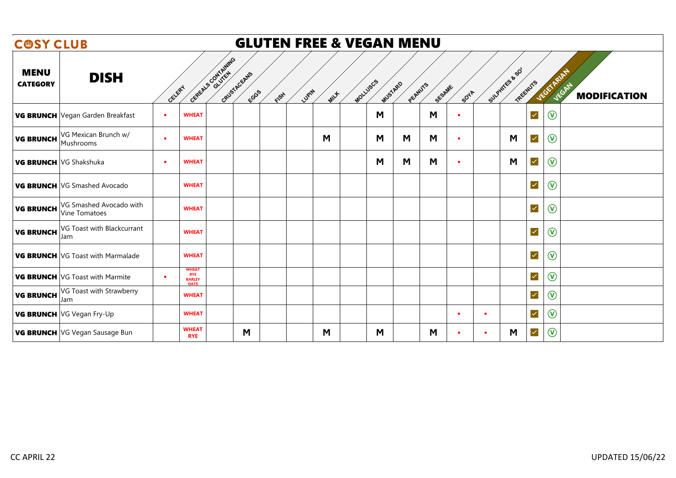| <b>COSY CLUB</b>               |                                          |                                                                 |                                   |              | <b>GLUTEN FREE &amp; VEGAN MENU</b> |          |         |         |        |             |                |                      |                   |                              |
|--------------------------------|------------------------------------------|-----------------------------------------------------------------|-----------------------------------|--------------|-------------------------------------|----------|---------|---------|--------|-------------|----------------|----------------------|-------------------|------------------------------|
| <b>MENU</b><br><b>CATEGORY</b> | <b>DISH</b>                              | GELERY                                                          | CEREALS CONTAINING<br>GRUSTAGEALS | ECGS<br>FISH | LUPIN<br>MILLE                      | MOLLUSCS | MUSTARD | PEANUTS | SESAME | <b>SOTA</b> | SULPHITES & SO | TREENUTS             | <b>JEGETARIAN</b> | JEGAN<br><b>MODIFICATION</b> |
|                                | VG BRUNCH Vegan Garden Breakfast         | <b>WHEAT</b><br>$\bullet$                                       |                                   |              |                                     |          | M       |         | M      | $\bullet$   |                | $\checkmark$         | $\circledcirc$    |                              |
| <b>VG BRUNCH</b>               | VG Mexican Brunch w/<br>Mushrooms        | <b>WHEAT</b><br>$\bullet$                                       |                                   |              | M                                   |          | M       | M       | M      | $\bullet$   | M              | $\checkmark$         | $\circledcirc$    |                              |
| VG BRUNCH VG Shakshuka         |                                          | <b>WHEAT</b><br>٠                                               |                                   |              |                                     |          | M       | M       | M      | $\bullet$   | M              | $\blacktriangledown$ | $^{\copyright}$   |                              |
|                                | VG BRUNCH VG Smashed Avocado             | <b>WHEAT</b>                                                    |                                   |              |                                     |          |         |         |        |             |                | $\blacktriangledown$ | $\circledcirc$    |                              |
| <b>VG BRUNCH</b>               | VG Smashed Avocado with<br>Vine Tomatoes | <b>WHEAT</b>                                                    |                                   |              |                                     |          |         |         |        |             |                | $\checkmark$         | $\circledcirc$    |                              |
| <b>VG BRUNCH</b>               | VG Toast with Blackcurrant<br>Jam        | <b>WHEAT</b>                                                    |                                   |              |                                     |          |         |         |        |             |                | $\blacktriangledown$ | $\circledR$       |                              |
|                                | <b>VG BRUNCH</b> VG Toast with Marmalade | <b>WHEAT</b>                                                    |                                   |              |                                     |          |         |         |        |             |                | $\checkmark$         | $^{\circledR}$    |                              |
|                                | <b>VG BRUNCH</b> VG Toast with Marmite   | <b>WHEAT</b><br><b>RYE</b><br>٠<br><b>BARLEY</b><br><b>OATS</b> |                                   |              |                                     |          |         |         |        |             |                | $\blacktriangledown$ | $\circledcirc$    |                              |
| <b>VG BRUNCH</b>               | VG Toast with Strawberry<br>Jam          | <b>WHEAT</b>                                                    |                                   |              |                                     |          |         |         |        |             |                | $\checkmark$         | $\circledcirc$    |                              |
|                                | VG BRUNCH VG Vegan Fry-Up                | <b>WHEAT</b>                                                    |                                   |              |                                     |          |         |         |        | $\bullet$   | $\bullet$      | $\checkmark$         | $\circledcirc$    |                              |
|                                | VG BRUNCH VG Vegan Sausage Bun           | <b>WHEAT</b><br><b>RYE</b>                                      | M                                 |              | M                                   |          | M       |         | M      | $\bullet$   | M<br>$\bullet$ | $\checkmark$         | $\circledR$       |                              |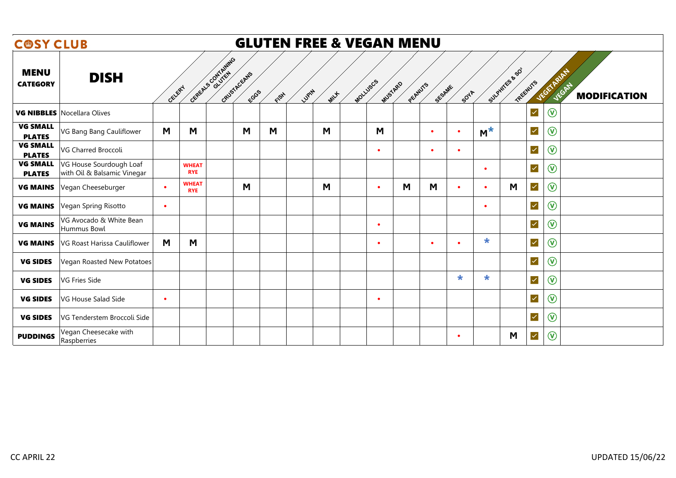| <b>COSY CLUB</b>                 |                                                        |           |                            |                                           |      | <b>GLUTEN FREE &amp; VEGAN MENU</b> |                     |         |           |           |           |                           |                   |                               |
|----------------------------------|--------------------------------------------------------|-----------|----------------------------|-------------------------------------------|------|-------------------------------------|---------------------|---------|-----------|-----------|-----------|---------------------------|-------------------|-------------------------------|
| <b>MENU</b><br><b>CATEGORY</b>   | <b>DISH</b>                                            | GELERY    |                            | General Contrating<br>GRUSTACEANS<br>ECGS | FISH | LUPIN<br>MILLE                      | MOLLUSCS<br>MUSTARD | PEANUTS | SESAME    | SOTA      |           | SULPHTES & SO<br>TREENUTS | <b>JEGETARIAN</b> | JEGATY<br><b>MODIFICATION</b> |
|                                  | <b>VG NIBBLES</b> Nocellara Olives                     |           |                            |                                           |      |                                     |                     |         |           |           |           | $\blacktriangledown$      | $\circledR$       |                               |
| <b>VG SMALL</b><br><b>PLATES</b> | VG Bang Bang Cauliflower                               | M         | M                          | M                                         | M    | M                                   | M                   |         | $\bullet$ | $\bullet$ | $M^*$     | $\prec$                   | $\circledcirc$    |                               |
| <b>VG SMALL</b><br><b>PLATES</b> | VG Charred Broccoli                                    |           |                            |                                           |      |                                     | $\bullet$           |         | $\bullet$ | $\bullet$ |           | $\checkmark$              | $\circledR$       |                               |
| <b>VG SMALL</b><br><b>PLATES</b> | VG House Sourdough Loaf<br>with Oil & Balsamic Vinegar |           | <b>WHEAT</b><br><b>RYE</b> |                                           |      |                                     |                     |         |           |           | $\bullet$ | $\blacktriangledown$      | $\circledR$       |                               |
| <b>VG MAINS</b>                  | Vegan Cheeseburger                                     | $\bullet$ | <b>WHEAT</b><br><b>RYE</b> | M                                         |      | M                                   | $\bullet$           | M       | M         | $\bullet$ | $\bullet$ | M<br>$\blacktriangledown$ | $\circledR$       |                               |
| <b>VG MAINS</b>                  | Vegan Spring Risotto                                   | $\bullet$ |                            |                                           |      |                                     |                     |         |           |           | $\bullet$ | $\checkmark$              | $\circledcirc$    |                               |
| <b>VG MAINS</b>                  | VG Avocado & White Bean<br>Hummus Bowl                 |           |                            |                                           |      |                                     | $\bullet$           |         |           |           |           | $\checkmark$              | $\circledR$       |                               |
| <b>VG MAINS</b>                  | VG Roast Harissa Cauliflower                           | M         | M                          |                                           |      |                                     | ٠                   |         | $\bullet$ | $\bullet$ | $\star$   | $\blacktriangledown$      | $\circledR$       |                               |
| <b>VG SIDES</b>                  | Vegan Roasted New Potatoes                             |           |                            |                                           |      |                                     |                     |         |           |           |           | $\blacktriangledown$      | $\circledR$       |                               |
| <b>VG SIDES</b>                  | VG Fries Side                                          |           |                            |                                           |      |                                     |                     |         |           | $\ast$    | $\star$   | $\blacktriangledown$      | $\circledcirc$    |                               |
| <b>VG SIDES</b>                  | VG House Salad Side                                    | $\bullet$ |                            |                                           |      |                                     | $\bullet$           |         |           |           |           | $\blacktriangledown$      | $\circledR$       |                               |
| <b>VG SIDES</b>                  | VG Tenderstem Broccoli Side                            |           |                            |                                           |      |                                     |                     |         |           |           |           | $\blacktriangledown$      | $\circledR$       |                               |
| <b>PUDDINGS</b>                  | Vegan Cheesecake with<br>Raspberries                   |           |                            |                                           |      |                                     |                     |         |           | $\bullet$ |           | $\blacktriangledown$<br>M | $\circledcirc$    |                               |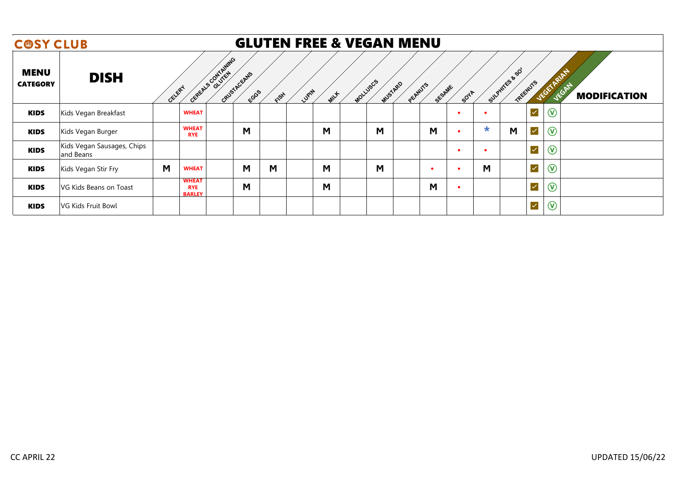| <b>COSY CLUB</b>               |                                         |        |                                             |                                    |      |      | <b>GLUTEN FREE &amp; VEGAN MENU</b> |          |                |                    |      |        |                              |                           |                              |
|--------------------------------|-----------------------------------------|--------|---------------------------------------------|------------------------------------|------|------|-------------------------------------|----------|----------------|--------------------|------|--------|------------------------------|---------------------------|------------------------------|
| <b>MENU</b><br><b>CATEGORY</b> | <b>DISH</b>                             | CELERY |                                             | Cepeta S Contrating<br>CRUSTACEANS | EGGS | FISH | LUPIN<br>MILLE                      | MOLLUSCS | <b>MUSTARD</b> | PECANUTS<br>SESAME | SOYA |        | SULPHITES & SO<br>TREEWUTS   | <b>JEGETA</b>             | VEGAS<br><b>MODIFICATION</b> |
| <b>KIDS</b>                    | Kids Vegan Breakfast                    |        | <b>WHEAT</b>                                |                                    |      |      |                                     |          |                |                    |      |        | $\blacktriangledown$         | $\left(\mathtt{V}\right)$ |                              |
| <b>KIDS</b>                    | Kids Vegan Burger                       |        | <b>WHEAT</b><br><b>RYE</b>                  |                                    | M    |      | M                                   |          | M              | M                  | ٠    | $\ast$ | M<br>$\overline{\checkmark}$ | $^{\copyright}$           |                              |
| <b>KIDS</b>                    | Kids Vegan Sausages, Chips<br>and Beans |        |                                             |                                    |      |      |                                     |          |                |                    | ٠    |        | $\blacktriangledown$         | $(\widehat{\mathsf{v}})$  |                              |
| <b>KIDS</b>                    | Kids Vegan Stir Fry                     | M      | <b>WHEAT</b>                                |                                    | M    | M    | M                                   |          | M              | $\bullet$          | ٠    | M      | $\blacktriangledown$         | $\circledcirc$            |                              |
| <b>KIDS</b>                    | VG Kids Beans on Toast                  |        | <b>WHEAT</b><br><b>RYE</b><br><b>BARLEY</b> |                                    | М    |      | M                                   |          |                | M                  | ٠    |        | $\blacktriangledown$         | $^\circledR$              |                              |
| <b>KIDS</b>                    | VG Kids Fruit Bowl                      |        |                                             |                                    |      |      |                                     |          |                |                    |      |        | $\overline{\checkmark}$      | $\circledcirc$            |                              |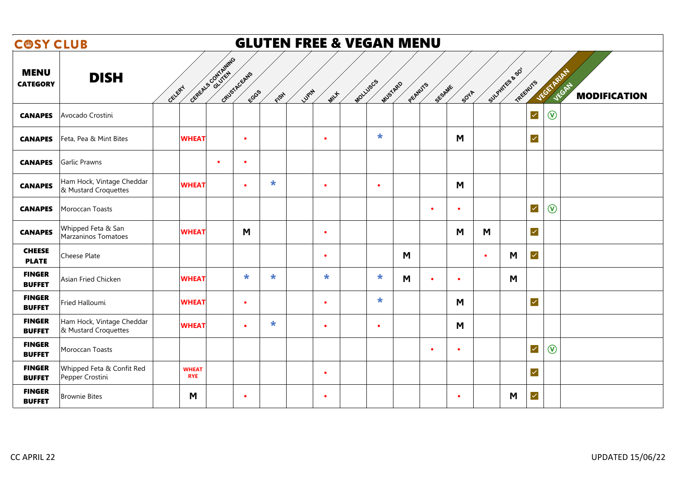|                                | <b>GLUTEN FREE &amp; VEGAN MENU</b><br><b>COSY CLUB</b> |                            |                    |                      |               |           |                     |                |                |           |                           |                      |                                                   |  |
|--------------------------------|---------------------------------------------------------|----------------------------|--------------------|----------------------|---------------|-----------|---------------------|----------------|----------------|-----------|---------------------------|----------------------|---------------------------------------------------|--|
| <b>MENU</b><br><b>CATEGORY</b> | <b>DISH</b>                                             | CELERY                     | CEREELS CONTAINING | GRUSTAGEANS<br>ECGGS | LUPIN<br>FISH | MILLE     | MOLLUSCS<br>MUSTARD | PEANUTS        | SESAME<br>SOYA |           | SULPHTES & SO<br>TREENUTS |                      | VEGETARIAN<br><b>JEGAN</b><br><b>MODIFICATION</b> |  |
| <b>CANAPES</b>                 | Avocado Crostini                                        |                            |                    |                      |               |           |                     |                |                |           |                           | $\blacktriangledown$ | $\circledR$                                       |  |
| <b>CANAPES</b>                 | Feta, Pea & Mint Bites                                  | <b>WHEAT</b>               |                    | $\bullet$            |               | $\bullet$ | $\ast$              |                | M              |           |                           | $\checkmark$         |                                                   |  |
| <b>CANAPES</b>                 | Garlic Prawns                                           |                            | $\bullet$          | $\bullet$            |               |           |                     |                |                |           |                           |                      |                                                   |  |
| <b>CANAPES</b>                 | Ham Hock, Vintage Cheddar<br>& Mustard Croquettes       | <b>WHEAT</b>               |                    | $\bullet$            | $\star$       | $\bullet$ | $\bullet$           |                | M              |           |                           |                      |                                                   |  |
| <b>CANAPES</b>                 | Moroccan Toasts                                         |                            |                    |                      |               |           |                     | $\bullet$      | $\bullet$      |           |                           | $\blacktriangledown$ | $\circledR$                                       |  |
| <b>CANAPES</b>                 | Whipped Feta & San<br>Marzaninos Tomatoes               | <b>WHEAT</b>               |                    | M                    |               | $\bullet$ |                     |                | M              | M         |                           | $\blacktriangledown$ |                                                   |  |
| <b>CHEESE</b><br><b>PLATE</b>  | Cheese Plate                                            |                            |                    |                      |               |           |                     | M              |                | $\bullet$ | M                         | $\blacktriangledown$ |                                                   |  |
| <b>FINGER</b><br><b>BUFFET</b> | Asian Fried Chicken                                     | <b>WHEAT</b>               |                    | $\star$              | $\star$       | $\star$   | $\ast$              | M<br>$\bullet$ | $\bullet$      |           | M                         |                      |                                                   |  |
| <b>FINGER</b><br><b>BUFFET</b> | Fried Halloumi                                          | <b>WHEAT</b>               |                    | $\bullet$            |               | $\bullet$ | $\ast$              |                | M              |           |                           | $\blacktriangledown$ |                                                   |  |
| <b>FINGER</b><br><b>BUFFET</b> | Ham Hock, Vintage Cheddar<br>& Mustard Croquettes       | <b>WHEAT</b>               |                    | $\bullet$            | $\star$       | $\bullet$ | $\bullet$           |                | M              |           |                           |                      |                                                   |  |
| <b>FINGER</b><br><b>BUFFET</b> | Moroccan Toasts                                         |                            |                    |                      |               |           |                     | $\bullet$      | $\bullet$      |           |                           | $\blacktriangledown$ | $\circledR$                                       |  |
| <b>FINGER</b><br><b>BUFFET</b> | Whipped Feta & Confit Red<br>Pepper Crostini            | <b>WHEAT</b><br><b>RYE</b> |                    |                      |               | $\bullet$ |                     |                |                |           |                           | $\blacktriangledown$ |                                                   |  |
| <b>FINGER</b><br><b>BUFFET</b> | <b>Brownie Bites</b>                                    | M                          |                    | $\bullet$            |               | $\bullet$ |                     |                | $\bullet$      |           | M                         | $\blacktriangledown$ |                                                   |  |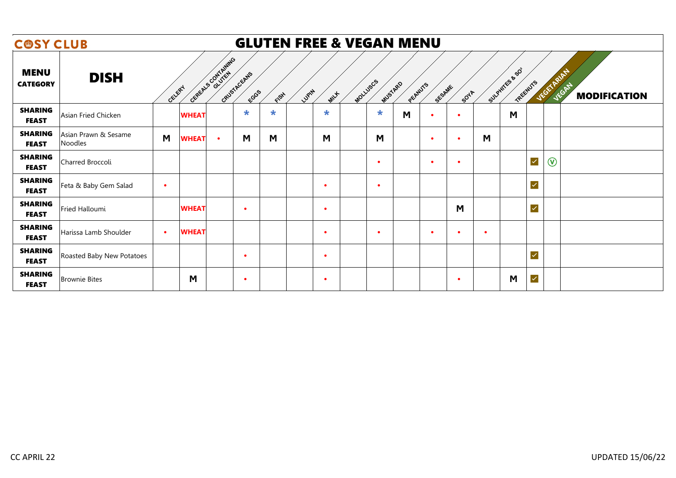| <b>GLUTEN FREE &amp; VEGAN MENU</b><br><b>COSY CLUB</b> |                                 |           |              |           |                     |        |       |           |  |                                |           |           |           |                            |             |                     |
|---------------------------------------------------------|---------------------------------|-----------|--------------|-----------|---------------------|--------|-------|-----------|--|--------------------------------|-----------|-----------|-----------|----------------------------|-------------|---------------------|
| <b>MENU</b><br><b>CATEGORY</b>                          | <b>DISH</b>                     | CELERY    | Contrating   |           | CRUSTACEANS<br>ECGS | FISH   | LUPIN | MILLE     |  | MOLLUSCS<br>MUSTARD<br>PEANUTS | SESAME    | SOTA      |           | SULPHITES & SO<br>TREEWUTS | VEGETARIAN  | <b>MODIFICATION</b> |
| <b>SHARING</b><br><b>FEAST</b>                          | Asian Fried Chicken             |           | <b>WHEAT</b> |           | $\ast$              | $\ast$ |       | $\ast$    |  | $\ast$<br>M                    | $\bullet$ | ٠         |           | M                          |             |                     |
| <b>SHARING</b><br><b>FEAST</b>                          | Asian Prawn & Sesame<br>Noodles | M         | <b>WHEAT</b> | $\bullet$ | M                   | M      |       | M         |  | M                              | $\bullet$ | ٠         | M         |                            |             |                     |
| <b>SHARING</b><br><b>FEAST</b>                          | Charred Broccoli                |           |              |           |                     |        |       |           |  | $\bullet$                      | $\bullet$ | ٠         |           | $\checkmark$               | $\circledR$ |                     |
| <b>SHARING</b><br><b>FEAST</b>                          | Feta & Baby Gem Salad           | $\bullet$ |              |           |                     |        |       |           |  | $\bullet$                      |           |           |           | $\blacktriangledown$       |             |                     |
| <b>SHARING</b><br><b>FEAST</b>                          | Fried Halloumi                  |           | <b>WHEAT</b> |           | $\bullet$           |        |       | $\bullet$ |  |                                |           | M         |           | $\overline{\mathcal{L}}$   |             |                     |
| <b>SHARING</b><br><b>FEAST</b>                          | Harissa Lamb Shoulder           | $\bullet$ | <b>WHEAT</b> |           |                     |        |       | $\bullet$ |  | $\bullet$                      | $\bullet$ | ٠         | $\bullet$ |                            |             |                     |
| <b>SHARING</b><br><b>FEAST</b>                          | Roasted Baby New Potatoes       |           |              |           | $\bullet$           |        |       | $\bullet$ |  |                                |           |           |           | $\overline{\mathcal{L}}$   |             |                     |
| <b>SHARING</b><br><b>FEAST</b>                          | <b>Brownie Bites</b>            |           | M            |           | $\bullet$           |        |       | $\bullet$ |  |                                |           | $\bullet$ |           | $\blacktriangledown$<br>M  |             |                     |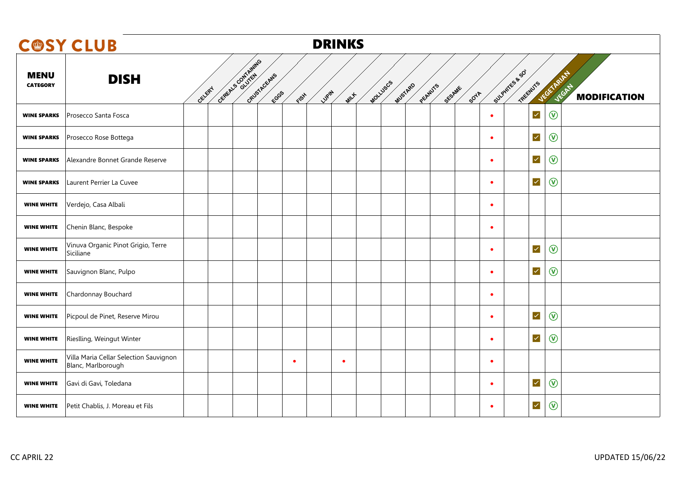|                                | <b>COSY CLUB</b>                                             |                      |                      |                | <b>DRINKS</b> |                                 |        |             |                            |                |                                           |
|--------------------------------|--------------------------------------------------------------|----------------------|----------------------|----------------|---------------|---------------------------------|--------|-------------|----------------------------|----------------|-------------------------------------------|
| <b>MENU</b><br><b>CATEGORY</b> | <b>DISH</b><br>GELERY                                        | Centery Scott Assets | GRUSTACEANS<br>FCGGS | Lugity<br>FISH | MILLE         | MOLLUSCS<br>MUSTARD<br>PECANUTS | SESAME | <b>SOTA</b> | Sulphires & SO<br>TREENUTS |                | VEGETARIA<br>JEGAN<br><b>MODIFICATION</b> |
| <b>WINE SPARKS</b>             | Prosecco Santa Fosca                                         |                      |                      |                |               |                                 |        | $\bullet$   | $\checkmark$               | $\circledcirc$ |                                           |
| <b>WINE SPARKS</b>             | Prosecco Rose Bottega                                        |                      |                      |                |               |                                 |        | $\bullet$   | $\blacktriangledown$       | $\circledcirc$ |                                           |
| <b>WINE SPARKS</b>             | Alexandre Bonnet Grande Reserve                              |                      |                      |                |               |                                 |        | $\bullet$   | $\blacktriangledown$       | $\circledR$    |                                           |
| <b>WINE SPARKS</b>             | Laurent Perrier La Cuvee                                     |                      |                      |                |               |                                 |        | $\bullet$   | $\checkmark$               | $\circledR$    |                                           |
| <b>WINE WHITE</b>              | Verdejo, Casa Albali                                         |                      |                      |                |               |                                 |        | $\bullet$   |                            |                |                                           |
| <b>WINE WHITE</b>              | Chenin Blanc, Bespoke                                        |                      |                      |                |               |                                 |        | $\bullet$   |                            |                |                                           |
| <b>WINE WHITE</b>              | Vinuva Organic Pinot Grigio, Terre<br>Siciliane              |                      |                      |                |               |                                 |        | $\bullet$   | $\blacktriangledown$       | $\circledcirc$ |                                           |
| <b>WINE WHITE</b>              | Sauvignon Blanc, Pulpo                                       |                      |                      |                |               |                                 |        | $\bullet$   | $\checkmark$               | $\circledR$    |                                           |
| <b>WINE WHITE</b>              | Chardonnay Bouchard                                          |                      |                      |                |               |                                 |        |             |                            |                |                                           |
| <b>WINE WHITE</b>              | Picpoul de Pinet, Reserve Mirou                              |                      |                      |                |               |                                 |        | $\bullet$   | $\blacktriangledown$       | $\circledcirc$ |                                           |
| <b>WINE WHITE</b>              | Rieslling, Weingut Winter                                    |                      |                      |                |               |                                 |        | $\bullet$   | $\checkmark$               | $\circledcirc$ |                                           |
| <b>WINE WHITE</b>              | Villa Maria Cellar Selection Sauvignon<br>Blanc, Marlborough |                      |                      | $\bullet$      | $\bullet$     |                                 |        | $\bullet$   |                            |                |                                           |
| <b>WINE WHITE</b>              | Gavi di Gavi, Toledana                                       |                      |                      |                |               |                                 |        | $\bullet$   | $\blacktriangledown$       | $\circledcirc$ |                                           |
| <b>WINE WHITE</b>              | Petit Chablis, J. Moreau et Fils                             |                      |                      |                |               |                                 |        |             | $\checkmark$               | $\circledcirc$ |                                           |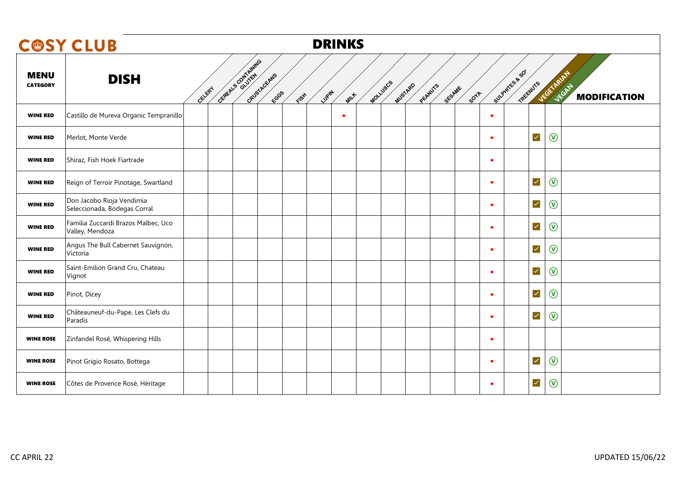|                                | <b>COSY CLUB</b>                                          |        |                    |                              |        | <b>DRINKS</b> |                     |         |        |                                            |                      |                     |                     |
|--------------------------------|-----------------------------------------------------------|--------|--------------------|------------------------------|--------|---------------|---------------------|---------|--------|--------------------------------------------|----------------------|---------------------|---------------------|
| <b>MENU</b><br><b>CATEGORY</b> | <b>DISH</b>                                               | GELERY | GERELL'S CONTAINED | GRUSTAGEANS<br>ECGS<br>FIFAL | Lugity | MILLE         | MOLLUSCS<br>MUSTARD | PEANUTS | SESAME | Sulphires & SO<br>TREENUTS<br><b>SOUTA</b> |                      | VEGETARIAN<br>JEGAN | <b>MODIFICATION</b> |
| <b>WINE RED</b>                | Castillo de Mureva Organic Tempranillo                    |        |                    |                              |        | $\bullet$     |                     |         |        |                                            |                      |                     |                     |
| <b>WINE RED</b>                | Merlot, Monte Verde                                       |        |                    |                              |        |               |                     |         |        | $\bullet$                                  | $\prec$              | $\circledcirc$      |                     |
| <b>WINE RED</b>                | Shiraz, Fish Hoek Fiartrade                               |        |                    |                              |        |               |                     |         |        | $\bullet$                                  |                      |                     |                     |
| <b>WINE RED</b>                | Reign of Terroir Pinotage, Swartland                      |        |                    |                              |        |               |                     |         |        | $\bullet$                                  | $\checkmark$         | $\circledcirc$      |                     |
| <b>WINE RED</b>                | Don Jacobo Rioja Vendimia<br>Seleccionada, Bodegas Corral |        |                    |                              |        |               |                     |         |        | $\bullet$                                  | $\prec$              | $\circledcirc$      |                     |
| <b>WINE RED</b>                | Familia Zuccardi Brazos Malbec, Uco<br>Valley, Mendoza    |        |                    |                              |        |               |                     |         |        | $\bullet$                                  | $\checkmark$         | $^{\circledR}$      |                     |
| <b>WINE RED</b>                | Angus The Bull Cabernet Sauvignon,<br>Victoria            |        |                    |                              |        |               |                     |         |        | $\bullet$                                  | $\prec$              | $\circledcirc$      |                     |
| <b>WINE RED</b>                | Saint-Emilion Grand Cru, Chateau<br>Vignot                |        |                    |                              |        |               |                     |         |        | $\bullet$                                  | $\checkmark$         | $^{\circledR}$      |                     |
| <b>WINE RED</b>                | Pinot, Dicey                                              |        |                    |                              |        |               |                     |         |        | $\bullet$                                  | $\blacktriangledown$ | $\circledcirc$      |                     |
| <b>WINE RED</b>                | Châteauneuf-du-Pape, Les Clefs du<br>Paradis              |        |                    |                              |        |               |                     |         |        |                                            | $\prec$              | $\circledR$         |                     |
| <b>WINE ROSE</b>               | Zinfandel Rosé, Whispering Hills                          |        |                    |                              |        |               |                     |         |        | $\bullet$                                  |                      |                     |                     |
| <b>WINE ROSE</b>               | Pinot Grigio Rosato, Bottega                              |        |                    |                              |        |               |                     |         |        | $\bullet$                                  | $\checkmark$         | $\circledcirc$      |                     |
| <b>WINE ROSE</b>               | Côtes de Provence Rosé, Héritage                          |        |                    |                              |        |               |                     |         |        |                                            | $\blacktriangledown$ | $^\circledR$        |                     |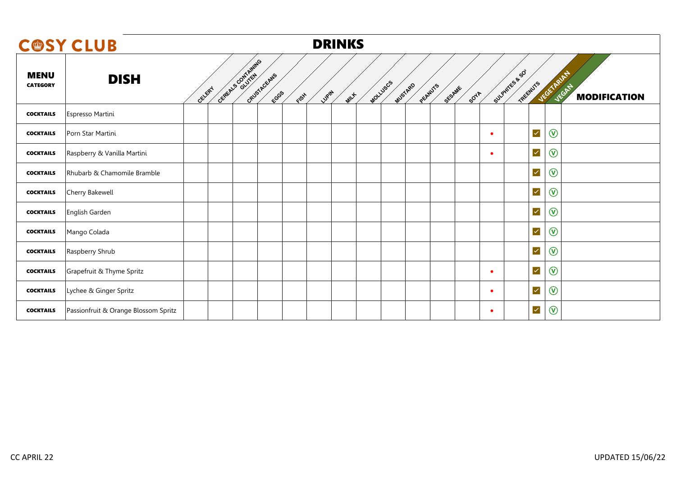|                                | <b>C@SY CLUB</b>                     |        |                                           |      | <b>DRINKS</b>   |          |                              |             |           |                                          |                              |
|--------------------------------|--------------------------------------|--------|-------------------------------------------|------|-----------------|----------|------------------------------|-------------|-----------|------------------------------------------|------------------------------|
| <b>MENU</b><br><b>CATEGORY</b> | <b>DISH</b>                          | CELERY | CEREALS CONTAINING<br>GRUSTACEANS<br>ECGS | FISH | Lugity<br>MILLE | MOLLUSCS | MUSTARD<br>PEANUTS<br>SESAME | <b>SOTA</b> |           | Sulphires & SO<br>VEGETARIAN<br>TREEWUYS | VEGAN<br><b>MODIFICATION</b> |
| <b>COCKTAILS</b>               | Espresso Martini                     |        |                                           |      |                 |          |                              |             |           |                                          |                              |
| <b>COCKTAILS</b>               | Porn Star Martini                    |        |                                           |      |                 |          |                              |             | ٠         | $\circledcirc$<br>$\prec$                |                              |
| <b>COCKTAILS</b>               | Raspberry & Vanilla Martini          |        |                                           |      |                 |          |                              |             | ٠         | $\circledcirc$<br>$\prec$                |                              |
| <b>COCKTAILS</b>               | Rhubarb & Chamomile Bramble          |        |                                           |      |                 |          |                              |             |           | $\checkmark$<br>$\circledcirc$           |                              |
| <b>COCKTAILS</b>               | Cherry Bakewell                      |        |                                           |      |                 |          |                              |             |           | $\circledcirc$<br>$\prec$                |                              |
| <b>COCKTAILS</b>               | English Garden                       |        |                                           |      |                 |          |                              |             |           | $\circledcirc$<br>$\blacktriangledown$   |                              |
| <b>COCKTAILS</b>               | Mango Colada                         |        |                                           |      |                 |          |                              |             |           | $\checkmark$<br>$\circledcirc$           |                              |
| <b>COCKTAILS</b>               | Raspberry Shrub                      |        |                                           |      |                 |          |                              |             |           | $\prec$<br>$\circledcirc$                |                              |
| <b>COCKTAILS</b>               | Grapefruit & Thyme Spritz            |        |                                           |      |                 |          |                              |             | ٠         | $\checkmark$<br>$\circledcirc$           |                              |
| <b>COCKTAILS</b>               | Lychee & Ginger Spritz               |        |                                           |      |                 |          |                              |             | $\bullet$ | $\circledcirc$<br>$\prec$                |                              |
| <b>COCKTAILS</b>               | Passionfruit & Orange Blossom Spritz |        |                                           |      |                 |          |                              |             | ٠         | $\circledcirc$<br>$\prec$                |                              |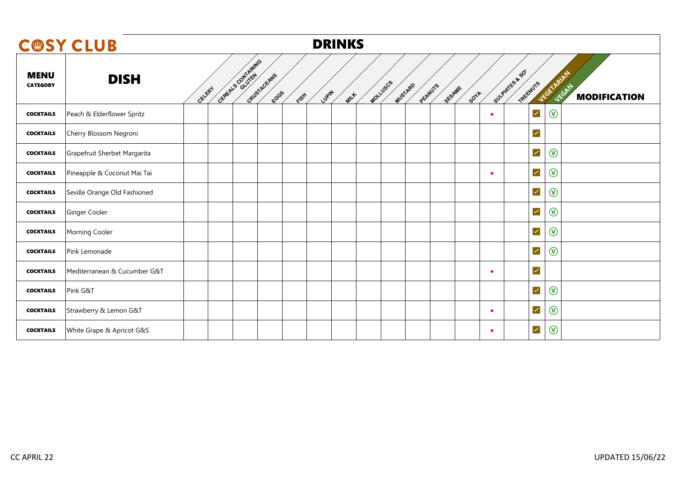|                                | <b>COSY CLUB</b>             |                                                      |      | <b>DRINKS</b>              |         |                                   |           |                            |                                           |
|--------------------------------|------------------------------|------------------------------------------------------|------|----------------------------|---------|-----------------------------------|-----------|----------------------------|-------------------------------------------|
| <b>MENU</b><br><b>CATEGORY</b> | <b>DISH</b>                  | General Contrating<br>GRUSTACEANS<br>CELERY<br>FCGGS | FISH | MOLLUSCS<br>Lupin<br>MILLE | MUSTARD | PEANUTS<br>SESAME<br><b>SOULA</b> |           | Sulphires & SO<br>TREEWUTS | JEGETARIA<br>VEGAN<br><b>MODIFICATION</b> |
| <b>COCKTAILS</b>               | Peach & Elderflower Spritz   |                                                      |      |                            |         |                                   | $\bullet$ | $\blacktriangledown$       | $\circledcirc$                            |
| <b>COCKTAILS</b>               | Cherry Blossom Negroni       |                                                      |      |                            |         |                                   |           | $\checkmark$               |                                           |
| <b>COCKTAILS</b>               | Grapefruit Sherbet Margarita |                                                      |      |                            |         |                                   |           | $\blacktriangledown$       | $\circledcirc$                            |
| <b>COCKTAILS</b>               | Pineapple & Coconut Mai Tai  |                                                      |      |                            |         |                                   | $\bullet$ | $\blacktriangledown$       | $\circledcirc$                            |
| <b>COCKTAILS</b>               | Seville Orange Old Fashioned |                                                      |      |                            |         |                                   |           | $\blacktriangledown$       | $\circledcirc$                            |
| <b>COCKTAILS</b>               | Ginger Cooler                |                                                      |      |                            |         |                                   |           | $\prec$                    | $\circledcirc$                            |
| <b>COCKTAILS</b>               | Morning Cooler               |                                                      |      |                            |         |                                   |           | $\checkmark$               | $\circledcirc$                            |
| <b>COCKTAILS</b>               | Pink Lemonade                |                                                      |      |                            |         |                                   |           | $\blacktriangledown$       | $\circledcirc$                            |
| <b>COCKTAILS</b>               | Mediterranean & Cucumber G&T |                                                      |      |                            |         |                                   | ٠         | $\blacktriangledown$       |                                           |
| <b>COCKTAILS</b>               | Pink G&T                     |                                                      |      |                            |         |                                   |           | $\overline{\mathsf{v}}$    | $\circledR$                               |
| <b>COCKTAILS</b>               | Strawberry & Lemon G&T       |                                                      |      |                            |         |                                   | $\bullet$ | $\blacktriangledown$       | $\circledcirc$                            |
| <b>COCKTAILS</b>               | White Grape & Apricot G&S    |                                                      |      |                            |         |                                   | $\bullet$ | $\checkmark$               | $\circledcirc$                            |